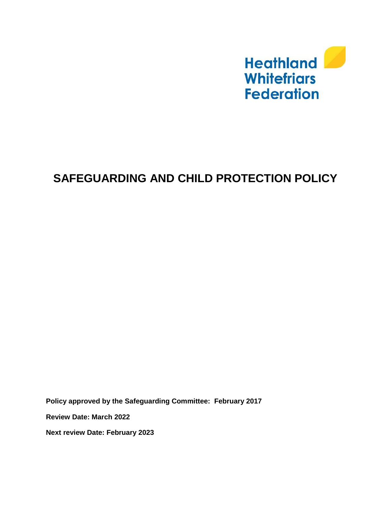

# **SAFEGUARDING AND CHILD PROTECTION POLICY**

**Policy approved by the Safeguarding Committee: February 2017**

**Review Date: March 2022**

**Next review Date: February 2023**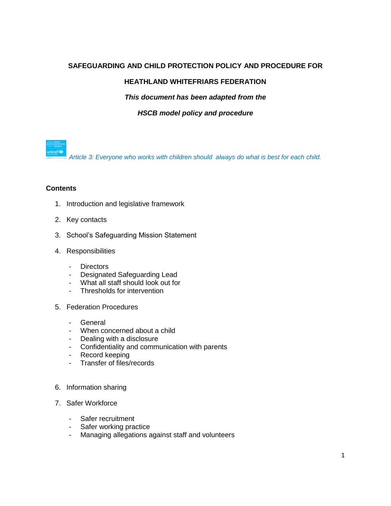# **SAFEGUARDING AND CHILD PROTECTION POLICY AND PROCEDURE FOR**

# **HEATHLAND WHITEFRIARS FEDERATION**

*This document has been adapted from the* 

#### *HSCB model policy and procedure*

nicef<sup>6</sup> *Article 3: Everyone who works with children should always do what is best for each child.*

#### **Contents**

- 1. Introduction and legislative framework
- 2. Key contacts
- 3. School's Safeguarding Mission Statement
- 4. Responsibilities
	- Directors
	- Designated Safeguarding Lead
	- What all staff should look out for
	- Thresholds for intervention
- 5. Federation Procedures
	- General
	- When concerned about a child
	- Dealing with a disclosure
	- Confidentiality and communication with parents
	- Record keeping
	- Transfer of files/records
- 6. Information sharing
- 7. Safer Workforce
	- Safer recruitment
	- Safer working practice<br>- Managing allegations a
	- Managing allegations against staff and volunteers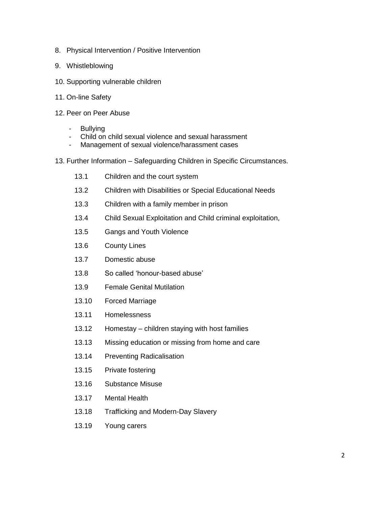- 8. Physical Intervention / Positive Intervention
- 9. Whistleblowing
- 10. Supporting vulnerable children
- 11. On-line Safety
- 12. Peer on Peer Abuse
	- Bullying
	- Child on child sexual violence and sexual harassment
	- Management of sexual violence/harassment cases
- 13. Further Information Safeguarding Children in Specific Circumstances.
	- 13.1 Children and the court system
	- 13.2 Children with Disabilities or Special Educational Needs
	- 13.3 Children with a family member in prison
	- 13.4 Child Sexual Exploitation and Child criminal exploitation,
	- 13.5 Gangs and Youth Violence
	- 13.6 County Lines
	- 13.7 Domestic abuse
	- 13.8 So called 'honour-based abuse'
	- 13.9 Female Genital Mutilation
	- 13.10 Forced Marriage
	- 13.11 Homelessness
	- 13.12 Homestay children staying with host families
	- 13.13 Missing education or missing from home and care
	- 13.14 Preventing Radicalisation
	- 13.15 Private fostering
	- 13.16 Substance Misuse
	- 13.17 Mental Health
	- 13.18 Trafficking and Modern-Day Slavery
	- 13.19 Young carers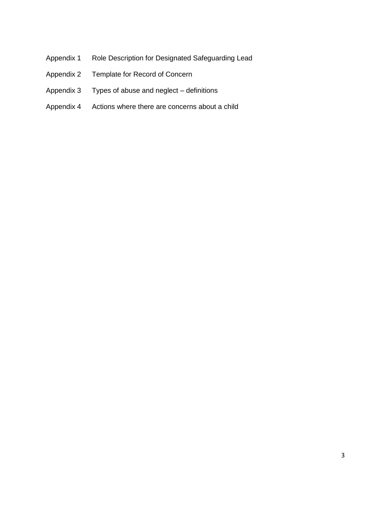- Appendix 1 Role Description for Designated Safeguarding Lead
- Appendix 2 Template for Record of Concern
- Appendix 3 Types of abuse and neglect definitions
- Appendix 4 Actions where there are concerns about a child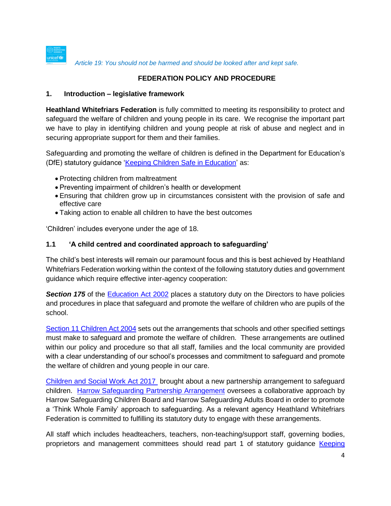

*Article 19: You should not be harmed and should be looked after and kept safe.*

#### **FEDERATION POLICY AND PROCEDURE**

#### **1. Introduction – legislative framework**

**Heathland Whitefriars Federation** is fully committed to meeting its responsibility to protect and safeguard the welfare of children and young people in its care. We recognise the important part we have to play in identifying children and young people at risk of abuse and neglect and in securing appropriate support for them and their families.

Safeguarding and promoting the welfare of children is defined in the Department for Education's (DfE) statutory guidance ['Keeping Children Safe in Education'](https://www.gov.uk/government/publications/keeping-children-safe-in-education--2) as:

- Protecting children from maltreatment
- Preventing impairment of children's health or development
- Ensuring that children grow up in circumstances consistent with the provision of safe and effective care
- Taking action to enable all children to have the best outcomes

'Children' includes everyone under the age of 18.

#### **1.1 'A child centred and coordinated approach to safeguarding'**

The child's best interests will remain our paramount focus and this is best achieved by Heathland Whitefriars Federation working within the context of the following statutory duties and government guidance which require effective inter-agency cooperation:

**Section 175** of the [Education Act 2002](http://www.legislation.gov.uk/ukpga/2002/32/contents) places a statutory duty on the Directors to have policies and procedures in place that safeguard and promote the welfare of children who are pupils of the school.

[Section 11 Children Act 2004](http://www.legislation.gov.uk/ukpga/2004/31/contents) sets out the arrangements that schools and other specified settings must make to safeguard and promote the welfare of children. These arrangements are outlined within our policy and procedure so that all staff, families and the local community are provided with a clear understanding of our school's processes and commitment to safeguard and promote the welfare of children and young people in our care.

[Children and Social Work Act 2017](https://www.legislation.gov.uk/ukpga/2017/16/contents) brought about a new partnership arrangement to safeguard children. [Harrow Safeguarding Partnership Arrangement](http://www.harrowscb.co.uk/wp-content/uploads/2019/06/Harrow-Safeguarding-Children-Arrangements-May-2019.pdf) oversees a collaborative approach by Harrow Safeguarding Children Board and Harrow Safeguarding Adults Board in order to promote a 'Think Whole Family' approach to safeguarding. As a relevant agency Heathland Whitefriars Federation is committed to fulfilling its statutory duty to engage with these arrangements.

All staff which includes headteachers, teachers, non-teaching/support staff, governing bodies, proprietors and management committees should read part 1 of statutory guidance [Keeping](https://www.gov.uk/government/publications/keeping-children-safe-in-education--2)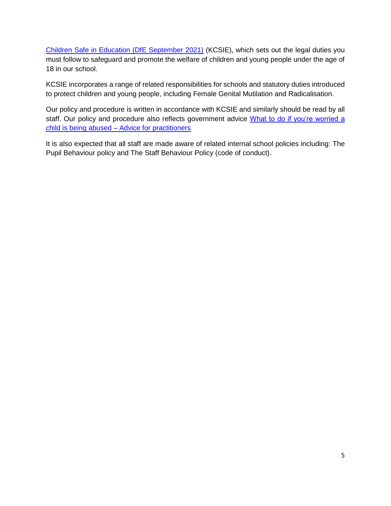[Children Safe in Education \(DfE September 2021\)](https://www.gov.uk/government/publications/keeping-children-safe-in-education--2) (KCSIE), which sets out the legal duties you must follow to safeguard and promote the welfare of children and young people under the age of 18 in our school.

KCSIE incorporates a range of related responsibilities for schools and statutory duties introduced to protect children and young people, including Female Genital Mutilation and Radicalisation.

Our policy and procedure is written in accordance with KCSIE and similarly should be read by all staff. Our policy and procedure also reflects government advice What to do if you're worried a child is being abused – [Advice for practitioners](https://www.gov.uk/government/publications/what-to-do-if-youre-worried-a-child-is-being-abused--2) 

It is also expected that all staff are made aware of related internal school policies including: The Pupil Behaviour policy and The Staff Behaviour Policy (code of conduct).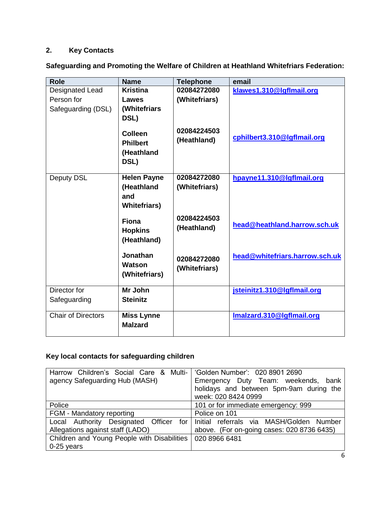# **2. Key Contacts**

**Safeguarding and Promoting the Welfare of Children at Heathland Whitefriars Federation:**

| <b>Role</b>               | <b>Name</b>                   | <b>Telephone</b> | email                          |
|---------------------------|-------------------------------|------------------|--------------------------------|
| Designated Lead           | <b>Kristina</b>               | 02084272080      | klawes1.310@lgflmail.org       |
| Person for                | Lawes                         | (Whitefriars)    |                                |
| Safeguarding (DSL)        | (Whitefriars                  |                  |                                |
|                           | DSL)                          |                  |                                |
|                           |                               | 02084224503      |                                |
|                           | <b>Colleen</b>                | (Heathland)      | cphilbert3.310@lgflmail.org    |
|                           | <b>Philbert</b>               |                  |                                |
|                           | (Heathland                    |                  |                                |
|                           | DSL)                          |                  |                                |
| Deputy DSL                | <b>Helen Payne</b>            | 02084272080      | hpayne11.310@lgflmail.org      |
|                           | (Heathland                    | (Whitefriars)    |                                |
|                           | and                           |                  |                                |
|                           | <b>Whitefriars)</b>           |                  |                                |
|                           |                               | 02084224503      |                                |
|                           | <b>Fiona</b>                  | (Heathland)      | head@heathland.harrow.sch.uk   |
|                           | <b>Hopkins</b><br>(Heathland) |                  |                                |
|                           |                               |                  |                                |
|                           | Jonathan                      | 02084272080      | head@whitefriars.harrow.sch.uk |
|                           | Watson                        | (Whitefriars)    |                                |
|                           | (Whitefriars)                 |                  |                                |
|                           |                               |                  |                                |
| Director for              | Mr John                       |                  | jsteinitz1.310@lgflmail.org    |
| Safeguarding              | <b>Steinitz</b>               |                  |                                |
| <b>Chair of Directors</b> | <b>Miss Lynne</b>             |                  | Imalzard.310@Igflmail.org      |
|                           | <b>Malzard</b>                |                  |                                |
|                           |                               |                  |                                |

# **Key local contacts for safeguarding children**

| Harrow Children's Social Care & Multi-                      | 'Golden Number': 020 8901 2690                 |  |
|-------------------------------------------------------------|------------------------------------------------|--|
| agency Safeguarding Hub (MASH)                              | Emergency Duty Team: weekends,<br>bank         |  |
|                                                             | holidays and between 5pm-9am during the        |  |
|                                                             | week: 020 8424 0999                            |  |
| Police                                                      | 101 or for immediate emergency: 999            |  |
| FGM - Mandatory reporting                                   | Police on 101                                  |  |
| Local Authority Designated Officer                          | for   Initial referrals via MASH/Golden Number |  |
| Allegations against staff (LADO)                            | above. (For on-going cases: 020 8736 6435)     |  |
| Children and Young People with Disabilities   020 8966 6481 |                                                |  |
| $0-25$ years                                                |                                                |  |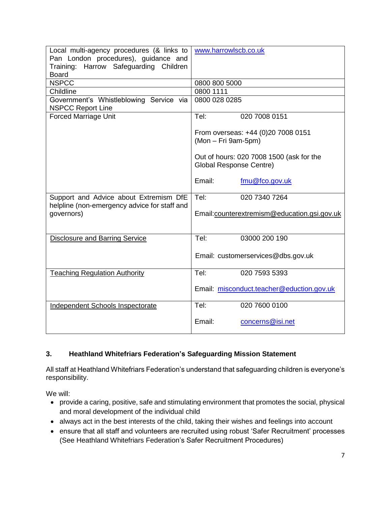| Local multi-agency procedures (& links to<br>Pan London procedures), guidance and | www.harrowlscb.co.uk                                                       |  |  |
|-----------------------------------------------------------------------------------|----------------------------------------------------------------------------|--|--|
| Training: Harrow Safeguarding Children                                            |                                                                            |  |  |
| <b>Board</b>                                                                      |                                                                            |  |  |
| <b>NSPCC</b>                                                                      | 0800 800 5000                                                              |  |  |
| Childline                                                                         | 0800 1111                                                                  |  |  |
| Government's Whistleblowing Service via<br><b>NSPCC Report Line</b>               | 0800 028 0285                                                              |  |  |
| <b>Forced Marriage Unit</b>                                                       | 020 7008 0151<br>Tel:                                                      |  |  |
|                                                                                   | From overseas: +44 (0)20 7008 0151<br>(Mon - Fri 9am-5pm)                  |  |  |
|                                                                                   | Out of hours: 020 7008 1500 (ask for the<br><b>Global Response Centre)</b> |  |  |
|                                                                                   | Email:<br>fmu@fco.gov.uk                                                   |  |  |
| Support and Advice about Extremism DfE                                            | Tel:<br>020 7340 7264                                                      |  |  |
| helpline (non-emergency advice for staff and<br>governors)                        | Email:counterextremism@education.gsi.gov.uk                                |  |  |
| <b>Disclosure and Barring Service</b>                                             | Tel:<br>03000 200 190                                                      |  |  |
|                                                                                   | Email: customerservices@dbs.gov.uk                                         |  |  |
| <b>Teaching Regulation Authority</b>                                              | Tel:<br>020 7593 5393                                                      |  |  |
|                                                                                   | Email: misconduct.teacher@eduction.gov.uk                                  |  |  |
| <b>Independent Schools Inspectorate</b>                                           | Tel:<br>020 7600 0100                                                      |  |  |
|                                                                                   | Email:<br>concerns@isi.net                                                 |  |  |

# **3. Heathland Whitefriars Federation's Safeguarding Mission Statement**

All staff at Heathland Whitefriars Federation's understand that safeguarding children is everyone's responsibility.

We will:

- provide a caring, positive, safe and stimulating environment that promotes the social, physical and moral development of the individual child
- always act in the best interests of the child, taking their wishes and feelings into account
- ensure that all staff and volunteers are recruited using robust 'Safer Recruitment' processes (See Heathland Whitefriars Federation's Safer Recruitment Procedures)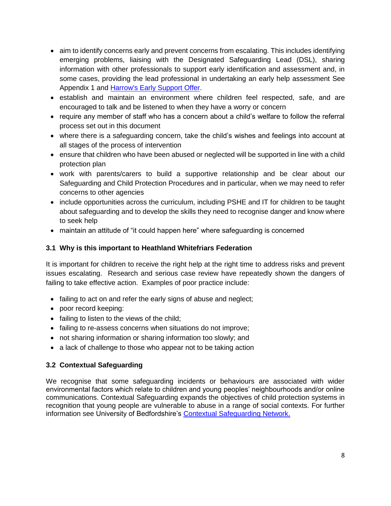- aim to identify concerns early and prevent concerns from escalating. This includes identifying emerging problems, liaising with the Designated Safeguarding Lead (DSL), sharing information with other professionals to support early identification and assessment and, in some cases, providing the lead professional in undertaking an early help assessment See Appendix 1 and [Harrow's Early Support Offer.](http://www.harrowlscb.co.uk/parents-carers/early-help/)
- establish and maintain an environment where children feel respected, safe, and are encouraged to talk and be listened to when they have a worry or concern
- require any member of staff who has a concern about a child's welfare to follow the referral process set out in this document
- where there is a safeguarding concern, take the child's wishes and feelings into account at all stages of the process of intervention
- ensure that children who have been abused or neglected will be supported in line with a child protection plan
- work with parents/carers to build a supportive relationship and be clear about our Safeguarding and Child Protection Procedures and in particular, when we may need to refer concerns to other agencies
- include opportunities across the curriculum, including PSHE and IT for children to be taught about safeguarding and to develop the skills they need to recognise danger and know where to seek help
- maintain an attitude of "it could happen here" where safeguarding is concerned

# **3.1 Why is this important to Heathland Whitefriars Federation**

It is important for children to receive the right help at the right time to address risks and prevent issues escalating. Research and serious case review have repeatedly shown the dangers of failing to take effective action. Examples of poor practice include:

- failing to act on and refer the early signs of abuse and neglect;
- poor record keeping:
- failing to listen to the views of the child;
- failing to re-assess concerns when situations do not improve;
- not sharing information or sharing information too slowly; and
- a lack of challenge to those who appear not to be taking action

# **3.2 Contextual Safeguarding**

We recognise that some safeguarding incidents or behaviours are associated with wider environmental factors which relate to children and young peoples' neighbourhoods and/or online communications. Contextual Safeguarding expands the objectives of child protection systems in recognition that young people are vulnerable to abuse in a range of social contexts. For further information see University of Bedfordshire's [Contextual Safeguarding Network.](https://contextualsafeguarding.org.uk/)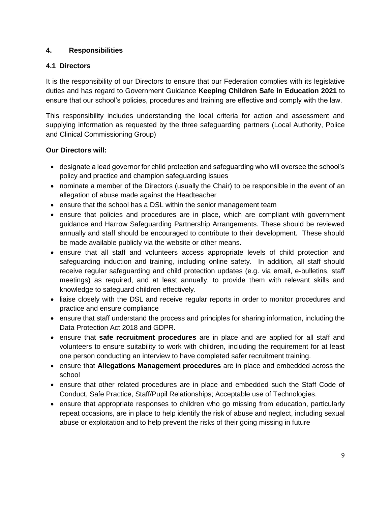# **4. Responsibilities**

# **4.1 Directors**

It is the responsibility of our Directors to ensure that our Federation complies with its legislative duties and has regard to Government Guidance **Keeping Children Safe in Education 2021** to ensure that our school's policies, procedures and training are effective and comply with the law.

This responsibility includes understanding the local criteria for action and assessment and supplying information as requested by the three safeguarding partners (Local Authority, Police and Clinical Commissioning Group)

# **Our Directors will:**

- designate a lead governor for child protection and safeguarding who will oversee the school's policy and practice and champion safeguarding issues
- nominate a member of the Directors (usually the Chair) to be responsible in the event of an allegation of abuse made against the Headteacher
- ensure that the school has a DSL within the senior management team
- ensure that policies and procedures are in place, which are compliant with government guidance and Harrow Safeguarding Partnership Arrangements. These should be reviewed annually and staff should be encouraged to contribute to their development. These should be made available publicly via the website or other means.
- ensure that all staff and volunteers access appropriate levels of child protection and safeguarding induction and training, including online safety. In addition, all staff should receive regular safeguarding and child protection updates (e.g. via email, e-bulletins, staff meetings) as required, and at least annually, to provide them with relevant skills and knowledge to safeguard children effectively.
- liaise closely with the DSL and receive regular reports in order to monitor procedures and practice and ensure compliance
- ensure that staff understand the process and principles for sharing information, including the Data Protection Act 2018 and GDPR.
- ensure that **safe recruitment procedures** are in place and are applied for all staff and volunteers to ensure suitability to work with children, including the requirement for at least one person conducting an interview to have completed safer recruitment training.
- ensure that **Allegations Management procedures** are in place and embedded across the school
- ensure that other related procedures are in place and embedded such the Staff Code of Conduct, Safe Practice, Staff/Pupil Relationships; Acceptable use of Technologies.
- ensure that appropriate responses to children who go missing from education, particularly repeat occasions, are in place to help identify the risk of abuse and neglect, including sexual abuse or exploitation and to help prevent the risks of their going missing in future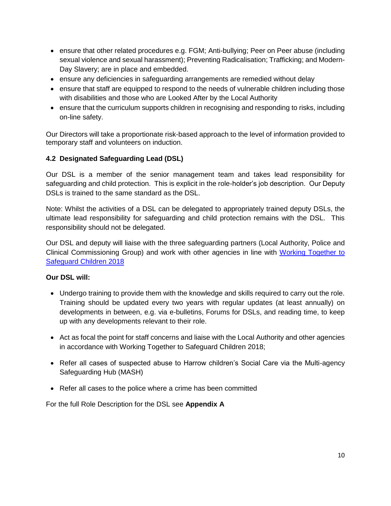- ensure that other related procedures e.g. FGM; Anti-bullying; Peer on Peer abuse (including sexual violence and sexual harassment); Preventing Radicalisation; Trafficking; and Modern-Day Slavery; are in place and embedded.
- ensure any deficiencies in safeguarding arrangements are remedied without delay
- ensure that staff are equipped to respond to the needs of vulnerable children including those with disabilities and those who are Looked After by the Local Authority
- ensure that the curriculum supports children in recognising and responding to risks, including on-line safety.

Our Directors will take a proportionate risk-based approach to the level of information provided to temporary staff and volunteers on induction.

# **4.2 Designated Safeguarding Lead (DSL)**

Our DSL is a member of the senior management team and takes lead responsibility for safeguarding and child protection. This is explicit in the role-holder's job description. Our Deputy DSLs is trained to the same standard as the DSL.

Note: Whilst the activities of a DSL can be delegated to appropriately trained deputy DSLs, the ultimate lead responsibility for safeguarding and child protection remains with the DSL. This responsibility should not be delegated.

Our DSL and deputy will liaise with the three safeguarding partners (Local Authority, Police and Clinical Commissioning Group) and work with other agencies in line with [Working Together to](https://www.gov.uk/government/publications/working-together-to-safeguard-children--2)  [Safeguard Children 2018](https://www.gov.uk/government/publications/working-together-to-safeguard-children--2)

# **Our DSL will:**

- Undergo training to provide them with the knowledge and skills required to carry out the role. Training should be updated every two years with regular updates (at least annually) on developments in between, e.g. via e-bulletins, Forums for DSLs, and reading time, to keep up with any developments relevant to their role.
- Act as focal the point for staff concerns and liaise with the Local Authority and other agencies in accordance with Working Together to Safeguard Children 2018;
- Refer all cases of suspected abuse to Harrow children's Social Care via the Multi-agency Safeguarding Hub (MASH)
- Refer all cases to the police where a crime has been committed

For the full Role Description for the DSL see **Appendix A**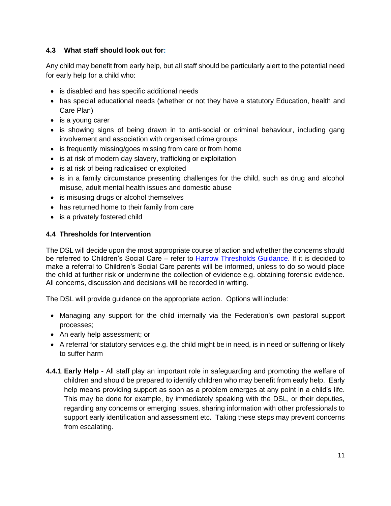# **4.3 What staff should look out for:**

Any child may benefit from early help, but all staff should be particularly alert to the potential need for early help for a child who:

- is disabled and has specific additional needs
- has special educational needs (whether or not they have a statutory Education, health and Care Plan)
- is a young carer
- is showing signs of being drawn in to anti-social or criminal behaviour, including gang involvement and association with organised crime groups
- is frequently missing/goes missing from care or from home
- is at risk of modern day slavery, trafficking or exploitation
- is at risk of being radicalised or exploited
- is in a family circumstance presenting challenges for the child, such as drug and alcohol misuse, adult mental health issues and domestic abuse
- is misusing drugs or alcohol themselves
- has returned home to their family from care
- is a privately fostered child

# **4.4 Thresholds for Intervention**

The DSL will decide upon the most appropriate course of action and whether the concerns should be referred to Children's Social Care – refer to [Harrow Thresholds Guidance.](http://www.harrowscb.co.uk/wp-content/uploads/2019/10/Harrow-Threshold-Guidance-Oct-2019.pdf) If it is decided to make a referral to Children's Social Care parents will be informed, unless to do so would place the child at further risk or undermine the collection of evidence e.g. obtaining forensic evidence. All concerns, discussion and decisions will be recorded in writing.

The DSL will provide guidance on the appropriate action. Options will include:

- Managing any support for the child internally via the Federation's own pastoral support processes;
- An early help assessment; or
- A referral for statutory services e.g. the child might be in need, is in need or suffering or likely to suffer harm
- **4.4.1 Early Help -** All staff play an important role in safeguarding and promoting the welfare of children and should be prepared to identify children who may benefit from early help. Early help means providing support as soon as a problem emerges at any point in a child's life. This may be done for example, by immediately speaking with the DSL, or their deputies, regarding any concerns or emerging issues, sharing information with other professionals to support early identification and assessment etc. Taking these steps may prevent concerns from escalating.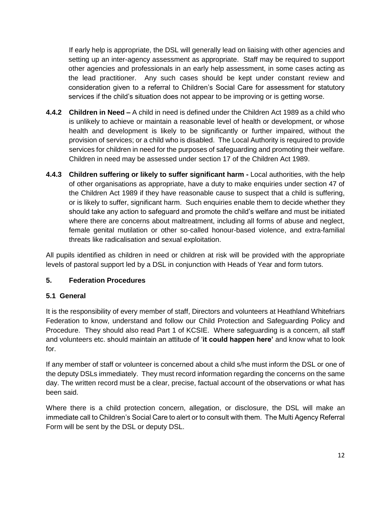If early help is appropriate, the DSL will generally lead on liaising with other agencies and setting up an inter-agency assessment as appropriate. Staff may be required to support other agencies and professionals in an early help assessment, in some cases acting as the lead practitioner. Any such cases should be kept under constant review and consideration given to a referral to Children's Social Care for assessment for statutory services if the child's situation does not appear to be improving or is getting worse.

- **4.4.2 Children in Need –** A child in need is defined under the Children Act 1989 as a child who is unlikely to achieve or maintain a reasonable level of health or development, or whose health and development is likely to be significantly or further impaired, without the provision of services; or a child who is disabled. The Local Authority is required to provide services for children in need for the purposes of safeguarding and promoting their welfare. Children in need may be assessed under section 17 of the Children Act 1989.
- **4.4.3 Children suffering or likely to suffer significant harm -** Local authorities, with the help of other organisations as appropriate, have a duty to make enquiries under section 47 of the Children Act 1989 if they have reasonable cause to suspect that a child is suffering, or is likely to suffer, significant harm. Such enquiries enable them to decide whether they should take any action to safeguard and promote the child's welfare and must be initiated where there are concerns about maltreatment, including all forms of abuse and neglect, female genital mutilation or other so-called honour-based violence, and extra-familial threats like radicalisation and sexual exploitation.

All pupils identified as children in need or children at risk will be provided with the appropriate levels of pastoral support led by a DSL in conjunction with Heads of Year and form tutors.

# **5. Federation Procedures**

#### **5.1 General**

It is the responsibility of every member of staff, Directors and volunteers at Heathland Whitefriars Federation to know, understand and follow our Child Protection and Safeguarding Policy and Procedure. They should also read Part 1 of KCSIE. Where safeguarding is a concern, all staff and volunteers etc. should maintain an attitude of '**it could happen here'** and know what to look for.

If any member of staff or volunteer is concerned about a child s/he must inform the DSL or one of the deputy DSLs immediately. They must record information regarding the concerns on the same day. The written record must be a clear, precise, factual account of the observations or what has been said.

Where there is a child protection concern, allegation, or disclosure, the DSL will make an immediate call to Children's Social Care to alert or to consult with them. The Multi Agency Referral Form will be sent by the DSL or deputy DSL.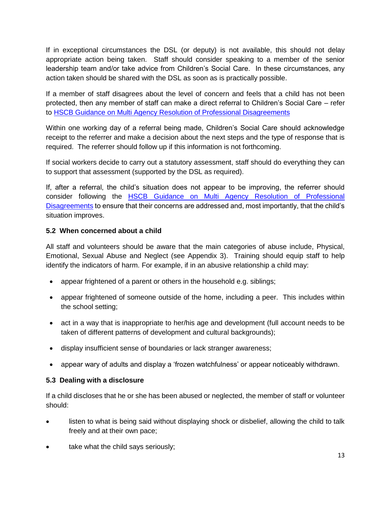If in exceptional circumstances the DSL (or deputy) is not available, this should not delay appropriate action being taken. Staff should consider speaking to a member of the senior leadership team and/or take advice from Children's Social Care. In these circumstances, any action taken should be shared with the DSL as soon as is practically possible.

If a member of staff disagrees about the level of concern and feels that a child has not been protected, then any member of staff can make a direct referral to Children's Social Care – refer to [HSCB Guidance on Multi Agency Resolution of Professional Disagreements](http://www.harrowlscb.co.uk/wp-content/uploads/2018/10/Challenge-Escalation-Multi-agency-resolution-of-professional-disagreements-October-2018.pdf)

Within one working day of a referral being made, Children's Social Care should acknowledge receipt to the referrer and make a decision about the next steps and the type of response that is required. The referrer should follow up if this information is not forthcoming.

If social workers decide to carry out a statutory assessment, staff should do everything they can to support that assessment (supported by the DSL as required).

If, after a referral, the child's situation does not appear to be improving, the referrer should consider following the [HSCB Guidance on Multi Agency Resolution of Professional](http://www.harrowlscb.co.uk/wp-content/uploads/2018/10/Challenge-Escalation-Multi-agency-resolution-of-professional-disagreements-October-2018.pdf)  [Disagreements](http://www.harrowlscb.co.uk/wp-content/uploads/2018/10/Challenge-Escalation-Multi-agency-resolution-of-professional-disagreements-October-2018.pdf) to ensure that their concerns are addressed and, most importantly, that the child's situation improves.

# **5.2 When concerned about a child**

All staff and volunteers should be aware that the main categories of abuse include, Physical, Emotional, Sexual Abuse and Neglect (see Appendix 3). Training should equip staff to help identify the indicators of harm. For example, if in an abusive relationship a child may:

- appear frightened of a parent or others in the household e.g. siblings;
- appear frightened of someone outside of the home, including a peer. This includes within the school setting;
- act in a way that is inappropriate to her/his age and development (full account needs to be taken of different patterns of development and cultural backgrounds);
- display insufficient sense of boundaries or lack stranger awareness;
- appear wary of adults and display a 'frozen watchfulness' or appear noticeably withdrawn.

#### **5.3 Dealing with a disclosure**

If a child discloses that he or she has been abused or neglected, the member of staff or volunteer should:

- listen to what is being said without displaying shock or disbelief, allowing the child to talk freely and at their own pace;
- take what the child says seriously;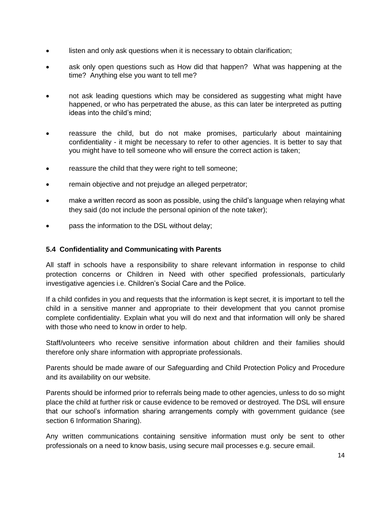- listen and only ask questions when it is necessary to obtain clarification;
- ask only open questions such as How did that happen? What was happening at the time? Anything else you want to tell me?
- not ask leading questions which may be considered as suggesting what might have happened, or who has perpetrated the abuse, as this can later be interpreted as putting ideas into the child's mind;
- reassure the child, but do not make promises, particularly about maintaining confidentiality - it might be necessary to refer to other agencies. It is better to say that you might have to tell someone who will ensure the correct action is taken;
- reassure the child that they were right to tell someone;
- remain objective and not prejudge an alleged perpetrator;
- make a written record as soon as possible, using the child's language when relaying what they said (do not include the personal opinion of the note taker);
- pass the information to the DSL without delay;

#### **5.4 Confidentiality and Communicating with Parents**

All staff in schools have a responsibility to share relevant information in response to child protection concerns or Children in Need with other specified professionals, particularly investigative agencies i.e. Children's Social Care and the Police.

If a child confides in you and requests that the information is kept secret, it is important to tell the child in a sensitive manner and appropriate to their development that you cannot promise complete confidentiality. Explain what you will do next and that information will only be shared with those who need to know in order to help.

Staff/volunteers who receive sensitive information about children and their families should therefore only share information with appropriate professionals.

Parents should be made aware of our Safeguarding and Child Protection Policy and Procedure and its availability on our website.

Parents should be informed prior to referrals being made to other agencies, unless to do so might place the child at further risk or cause evidence to be removed or destroyed. The DSL will ensure that our school's information sharing arrangements comply with government guidance (see section 6 Information Sharing).

Any written communications containing sensitive information must only be sent to other professionals on a need to know basis, using secure mail processes e.g. secure email.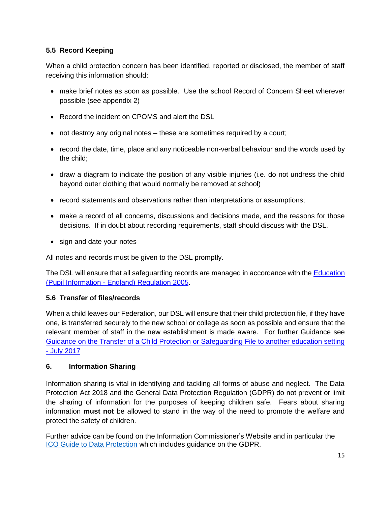# **5.5 Record Keeping**

When a child protection concern has been identified, reported or disclosed, the member of staff receiving this information should:

- make brief notes as soon as possible. Use the school Record of Concern Sheet wherever possible (see appendix 2)
- Record the incident on CPOMS and alert the DSL
- not destroy any original notes these are sometimes required by a court;
- record the date, time, place and any noticeable non-verbal behaviour and the words used by the child;
- draw a diagram to indicate the position of any visible injuries (i.e. do not undress the child beyond outer clothing that would normally be removed at school)
- record statements and observations rather than interpretations or assumptions;
- make a record of all concerns, discussions and decisions made, and the reasons for those decisions. If in doubt about recording requirements, staff should discuss with the DSL.
- sign and date your notes

All notes and records must be given to the DSL promptly.

The DSL will ensure that all safeguarding records are managed in accordance with the [Education](http://www.legislation.gov.uk/uksi/2005/1437/regulation/6/made)  (Pupil Information - [England\) Regulation 2005.](http://www.legislation.gov.uk/uksi/2005/1437/regulation/6/made)

# **5.6 Transfer of files/records**

When a child leaves our Federation, our DSL will ensure that their child protection file, if they have one, is transferred securely to the new school or college as soon as possible and ensure that the relevant member of staff in the new establishment is made aware. For further Guidance see [Guidance on the Transfer of a Child Protection or Safeguarding File to another education setting](http://www.harrowlscb.co.uk/wp-content/uploads/2015/06/Guidance-on-the-transfer-of-a-child-protection-safeguarding-file-1.pdf)  - [July 2017](http://www.harrowlscb.co.uk/wp-content/uploads/2015/06/Guidance-on-the-transfer-of-a-child-protection-safeguarding-file-1.pdf)

# **6. Information Sharing**

Information sharing is vital in identifying and tackling all forms of abuse and neglect. The Data Protection Act 2018 and the General Data Protection Regulation (GDPR) do not prevent or limit the sharing of information for the purposes of keeping children safe. Fears about sharing information **must not** be allowed to stand in the way of the need to promote the welfare and protect the safety of children.

Further advice can be found on the Information Commissioner's Website and in particular the [ICO Guide to Data Protection](https://ico.org.uk/for-organisations/guide-to-data-protection/) which includes guidance on the GDPR.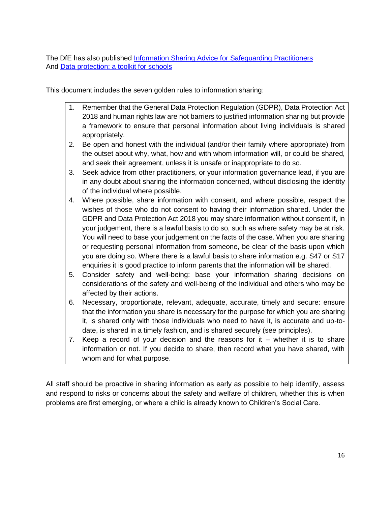The DfE has also published [Information Sharing Advice for Safeguarding Practitioners](https://d.docs.live.net/b54dd050185e1c2e/Documents/Everything%2002%20September%202018/Coral/Model%20Safeguarding%20and%20Child%20Protection%20Policy%20draft%20Oct%2019.docx) And [Data protection: a toolkit for schools](https://assets.publishing.service.gov.uk/government/uploads/system/uploads/attachment_data/file/747620/Data_Protection_Toolkit_for_Schools_OpenBeta.pdf)

This document includes the seven golden rules to information sharing:

- 1. Remember that the General Data Protection Regulation (GDPR), Data Protection Act 2018 and human rights law are not barriers to justified information sharing but provide a framework to ensure that personal information about living individuals is shared appropriately.
- 2. Be open and honest with the individual (and/or their family where appropriate) from the outset about why, what, how and with whom information will, or could be shared, and seek their agreement, unless it is unsafe or inappropriate to do so.
- 3. Seek advice from other practitioners, or your information governance lead, if you are in any doubt about sharing the information concerned, without disclosing the identity of the individual where possible.
- 4. Where possible, share information with consent, and where possible, respect the wishes of those who do not consent to having their information shared. Under the GDPR and Data Protection Act 2018 you may share information without consent if, in your judgement, there is a lawful basis to do so, such as where safety may be at risk. You will need to base your judgement on the facts of the case. When you are sharing or requesting personal information from someone, be clear of the basis upon which you are doing so. Where there is a lawful basis to share information e.g. S47 or S17 enquiries it is good practice to inform parents that the information will be shared.
- 5. Consider safety and well-being: base your information sharing decisions on considerations of the safety and well-being of the individual and others who may be affected by their actions.
- 6. Necessary, proportionate, relevant, adequate, accurate, timely and secure: ensure that the information you share is necessary for the purpose for which you are sharing it, is shared only with those individuals who need to have it, is accurate and up-todate, is shared in a timely fashion, and is shared securely (see principles).
- 7. Keep a record of your decision and the reasons for it whether it is to share information or not. If you decide to share, then record what you have shared, with whom and for what purpose.

All staff should be proactive in sharing information as early as possible to help identify, assess and respond to risks or concerns about the safety and welfare of children, whether this is when problems are first emerging, or where a child is already known to Children's Social Care.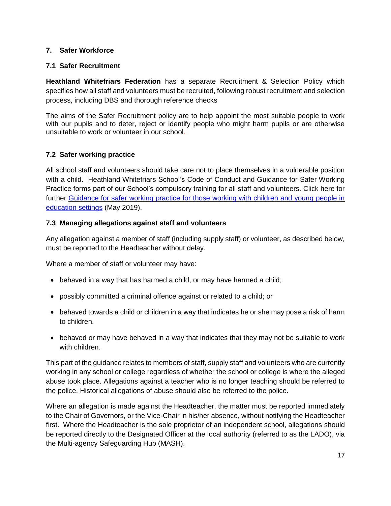#### **7. Safer Workforce**

#### **7.1 Safer Recruitment**

**Heathland Whitefriars Federation** has a separate Recruitment & Selection Policy which specifies how all staff and volunteers must be recruited, following robust recruitment and selection process, including DBS and thorough reference checks

The aims of the Safer Recruitment policy are to help appoint the most suitable people to work with our pupils and to deter, reject or identify people who might harm pupils or are otherwise unsuitable to work or volunteer in our school.

#### **7.2 Safer working practice**

All school staff and volunteers should take care not to place themselves in a vulnerable position with a child. Heathland Whitefriars School's Code of Conduct and Guidance for Safer Working Practice forms part of our School's compulsory training for all staff and volunteers. Click here for further [Guidance for safer working practice for those working with children and young people in](https://www.saferrecruitmentconsortium.org/GSWP%20Sept%202019.pdf)  [education settings](https://www.saferrecruitmentconsortium.org/GSWP%20Sept%202019.pdf) (May 2019).

#### **7.3 Managing allegations against staff and volunteers**

Any allegation against a member of staff (including supply staff) or volunteer, as described below, must be reported to the Headteacher without delay.

Where a member of staff or volunteer may have:

- behaved in a way that has harmed a child, or may have harmed a child;
- possibly committed a criminal offence against or related to a child; or
- behaved towards a child or children in a way that indicates he or she may pose a risk of harm to children.
- behaved or may have behaved in a way that indicates that they may not be suitable to work with children.

This part of the guidance relates to members of staff, supply staff and volunteers who are currently working in any school or college regardless of whether the school or college is where the alleged abuse took place. Allegations against a teacher who is no longer teaching should be referred to the police. Historical allegations of abuse should also be referred to the police.

Where an allegation is made against the Headteacher, the matter must be reported immediately to the Chair of Governors, or the Vice-Chair in his/her absence, without notifying the Headteacher first. Where the Headteacher is the sole proprietor of an independent school, allegations should be reported directly to the Designated Officer at the local authority (referred to as the LADO), via the Multi-agency Safeguarding Hub (MASH).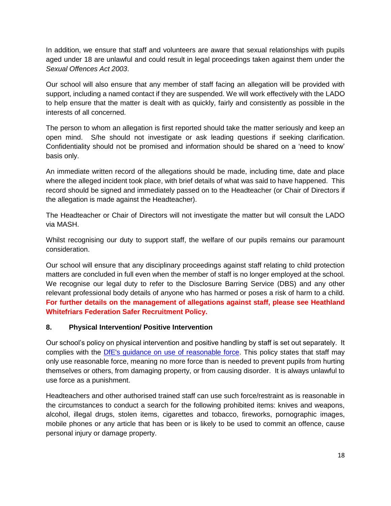In addition, we ensure that staff and volunteers are aware that sexual relationships with pupils aged under 18 are unlawful and could result in legal proceedings taken against them under the *Sexual Offences Act 2003*.

Our school will also ensure that any member of staff facing an allegation will be provided with support, including a named contact if they are suspended. We will work effectively with the LADO to help ensure that the matter is dealt with as quickly, fairly and consistently as possible in the interests of all concerned.

The person to whom an allegation is first reported should take the matter seriously and keep an open mind. S/he should not investigate or ask leading questions if seeking clarification. Confidentiality should not be promised and information should be shared on a 'need to know' basis only.

An immediate written record of the allegations should be made, including time, date and place where the alleged incident took place, with brief details of what was said to have happened. This record should be signed and immediately passed on to the Headteacher (or Chair of Directors if the allegation is made against the Headteacher).

The Headteacher or Chair of Directors will not investigate the matter but will consult the LADO via MASH.

Whilst recognising our duty to support staff, the welfare of our pupils remains our paramount consideration.

Our school will ensure that any disciplinary proceedings against staff relating to child protection matters are concluded in full even when the member of staff is no longer employed at the school. We recognise our legal duty to refer to the Disclosure Barring Service (DBS) and any other relevant professional body details of anyone who has harmed or poses a risk of harm to a child. **For further details on the management of allegations against staff, please see Heathland Whitefriars Federation Safer Recruitment Policy.**

#### **8. Physical Intervention/ Positive Intervention**

Our school's policy on physical intervention and positive handling by staff is set out separately. It complies with the [DfE's guidance on use of reasonable force.](https://www.gov.uk/government/publications/use-of-reasonable-force-in-schools) This policy states that staff may only use reasonable force, meaning no more force than is needed to prevent pupils from hurting themselves or others, from damaging property, or from causing disorder. It is always unlawful to use force as a punishment.

Headteachers and other authorised trained staff can use such force/restraint as is reasonable in the circumstances to conduct a search for the following prohibited items: knives and weapons, alcohol, illegal drugs, stolen items, cigarettes and tobacco, fireworks, pornographic images, mobile phones or any article that has been or is likely to be used to commit an offence, cause personal injury or damage property.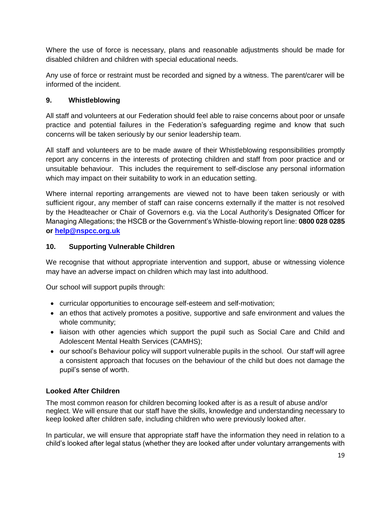Where the use of force is necessary, plans and reasonable adjustments should be made for disabled children and children with special educational needs.

Any use of force or restraint must be recorded and signed by a witness. The parent/carer will be informed of the incident.

#### **9. Whistleblowing**

All staff and volunteers at our Federation should feel able to raise concerns about poor or unsafe practice and potential failures in the Federation's safeguarding regime and know that such concerns will be taken seriously by our senior leadership team.

All staff and volunteers are to be made aware of their Whistleblowing responsibilities promptly report any concerns in the interests of protecting children and staff from poor practice and or unsuitable behaviour. This includes the requirement to self-disclose any personal information which may impact on their suitability to work in an education setting.

Where internal reporting arrangements are viewed not to have been taken seriously or with sufficient rigour, any member of staff can raise concerns externally if the matter is not resolved by the Headteacher or Chair of Governors e.g. via the Local Authority's Designated Officer for Managing Allegations; the HSCB or the Government's Whistle-blowing report line: **0800 028 0285 or [help@nspcc.org.uk](mailto:help@nspcc.org.uk)**

#### **10. Supporting Vulnerable Children**

We recognise that without appropriate intervention and support, abuse or witnessing violence may have an adverse impact on children which may last into adulthood.

Our school will support pupils through:

- curricular opportunities to encourage self-esteem and self-motivation;
- an ethos that actively promotes a positive, supportive and safe environment and values the whole community;
- liaison with other agencies which support the pupil such as Social Care and Child and Adolescent Mental Health Services (CAMHS);
- our school's Behaviour policy will support vulnerable pupils in the school. Our staff will agree a consistent approach that focuses on the behaviour of the child but does not damage the pupil's sense of worth.

#### **Looked After Children**

The most common reason for children becoming looked after is as a result of abuse and/or neglect. We will ensure that our staff have the skills, knowledge and understanding necessary to keep looked after children safe, including children who were previously looked after.

In particular, we will ensure that appropriate staff have the information they need in relation to a child's looked after legal status (whether they are looked after under voluntary arrangements with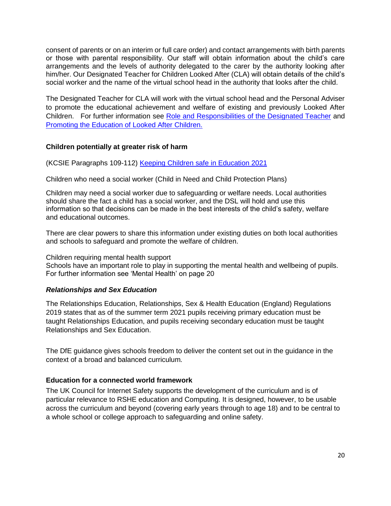consent of parents or on an interim or full care order) and contact arrangements with birth parents or those with parental responsibility. Our staff will obtain information about the child's care arrangements and the levels of authority delegated to the carer by the authority looking after him/her. Our Designated Teacher for Children Looked After (CLA) will obtain details of the child's social worker and the name of the virtual school head in the authority that looks after the child.

The Designated Teacher for CLA will work with the virtual school head and the Personal Adviser to promote the educational achievement and welfare of existing and previously Looked After Children. For further information see [Role and Responsibilities of the Designated Teacher](http://lewishamvirtualschool.org.uk/mdocs-posts/the-role-and-responsibilities-of-the-designated-teacher-for-looked-after-children/) and [Promoting the Education of Looked After Children.](https://www.gov.uk/government/publications/promoting-the-education-of-looked-after-children)

#### **Children potentially at greater risk of harm**

(KCSIE Paragraphs 109-112) [Keeping Children safe in Education 2021](https://assets.publishing.service.gov.uk/government/uploads/system/uploads/attachment_data/file/912592/Keeping_children_safe_in_education_Sep_2020.pdf)

Children who need a social worker (Child in Need and Child Protection Plans)

Children may need a social worker due to safeguarding or welfare needs. Local authorities should share the fact a child has a social worker, and the DSL will hold and use this information so that decisions can be made in the best interests of the child's safety, welfare and educational outcomes.

There are clear powers to share this information under existing duties on both local authorities and schools to safeguard and promote the welfare of children.

Children requiring mental health support

Schools have an important role to play in supporting the mental health and wellbeing of pupils. For further information see 'Mental Health' on page 20

#### *Relationships and Sex Education*

The Relationships Education, Relationships, Sex & Health Education (England) Regulations 2019 states that as of the summer term 2021 pupils receiving primary education must be taught Relationships Education, and pupils receiving secondary education must be taught Relationships and Sex Education.

The DfE guidance gives schools freedom to deliver the content set out in the guidance in the context of a broad and balanced curriculum*.*

#### **Education for a connected world framework**

The UK Council for Internet Safety supports the development of the curriculum and is of particular relevance to RSHE education and Computing. It is designed, however, to be usable across the curriculum and beyond (covering early years through to age 18) and to be central to a whole school or college approach to safeguarding and online safety.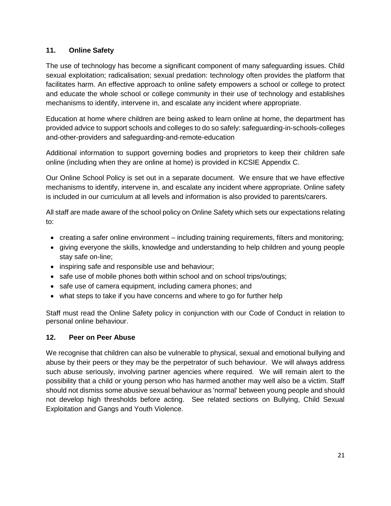# **11. Online Safety**

The use of technology has become a significant component of many safeguarding issues. Child sexual exploitation; radicalisation; sexual predation: technology often provides the platform that facilitates harm. An effective approach to online safety empowers a school or college to protect and educate the whole school or college community in their use of technology and establishes mechanisms to identify, intervene in, and escalate any incident where appropriate.

Education at home where children are being asked to learn online at home, the department has provided advice to support schools and colleges to do so safely: safeguarding-in-schools-colleges and-other-providers and safeguarding-and-remote-education

Additional information to support governing bodies and proprietors to keep their children safe online (including when they are online at home) is provided in KCSIE Appendix C.

Our Online School Policy is set out in a separate document. We ensure that we have effective mechanisms to identify, intervene in, and escalate any incident where appropriate. Online safety is included in our curriculum at all levels and information is also provided to parents/carers.

All staff are made aware of the school policy on Online Safety which sets our expectations relating to:

- creating a safer online environment including training requirements, filters and monitoring;
- giving everyone the skills, knowledge and understanding to help children and young people stay safe on-line;
- inspiring safe and responsible use and behaviour;
- safe use of mobile phones both within school and on school trips/outings;
- safe use of camera equipment, including camera phones; and
- what steps to take if you have concerns and where to go for further help

Staff must read the Online Safety policy in conjunction with our Code of Conduct in relation to personal online behaviour.

#### **12. Peer on Peer Abuse**

We recognise that children can also be vulnerable to physical, sexual and emotional bullying and abuse by their peers or they may be the perpetrator of such behaviour. We will always address such abuse seriously, involving partner agencies where required. We will remain alert to the possibility that a child or young person who has harmed another may well also be a victim. Staff should not dismiss some abusive sexual behaviour as 'normal' between young people and should not develop high thresholds before acting. See related sections on Bullying, Child Sexual Exploitation and Gangs and Youth Violence.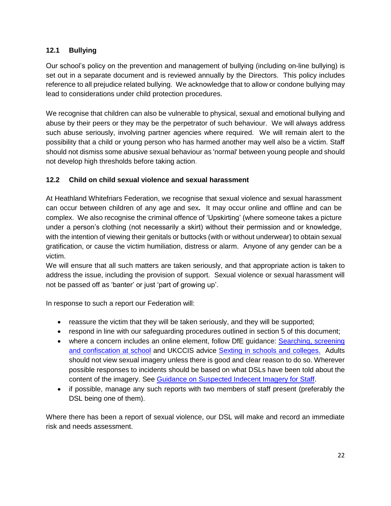# **12.1 Bullying**

Our school's policy on the prevention and management of bullying (including on-line bullying) is set out in a separate document and is reviewed annually by the Directors. This policy includes reference to all prejudice related bullying. We acknowledge that to allow or condone bullying may lead to considerations under child protection procedures.

We recognise that children can also be vulnerable to physical, sexual and emotional bullying and abuse by their peers or they may be the perpetrator of such behaviour. We will always address such abuse seriously, involving partner agencies where required. We will remain alert to the possibility that a child or young person who has harmed another may well also be a victim. Staff should not dismiss some abusive sexual behaviour as 'normal' between young people and should not develop high thresholds before taking action.

# **12.2 Child on child sexual violence and sexual harassment**

At Heathland Whitefriars Federation, we recognise that sexual violence and sexual harassment can occur between children of any age and sex**.** It may occur online and offline and can be complex. We also recognise the criminal offence of 'Upskirting' (where someone takes a picture under a person's clothing (not necessarily a skirt) without their permission and or knowledge, with the intention of viewing their genitals or buttocks (with or without underwear) to obtain sexual gratification, or cause the victim humiliation, distress or alarm. Anyone of any gender can be a victim.

We will ensure that all such matters are taken seriously, and that appropriate action is taken to address the issue, including the provision of support. Sexual violence or sexual harassment will not be passed off as 'banter' or just 'part of growing up'.

In response to such a report our Federation will:

- reassure the victim that they will be taken seriously, and they will be supported;
- respond in line with our safeguarding procedures outlined in section 5 of this document;
- where a concern includes an online element, follow DfE guidance: Searching, screening [and confiscation at school](https://www.gov.uk/government/publications/searching-screening-and-confiscation) and UKCCIS advice [Sexting in schools and colleges.](https://www.gov.uk/government/publications/sexting-in-schools-and-colleges) Adults should not view sexual imagery unless there is good and clear reason to do so. Wherever possible responses to incidents should be based on what DSLs have been told about the content of the imagery. See [Guidance on Suspected Indecent Imagery for Staff.](http://www.harrowscb.co.uk/wp-content/uploads/2019/10/Suspected-Indecent-Imagery-Protocol-for-staff.pdf)
- if possible, manage any such reports with two members of staff present (preferably the DSL being one of them).

Where there has been a report of sexual violence, our DSL will make and record an immediate risk and needs assessment.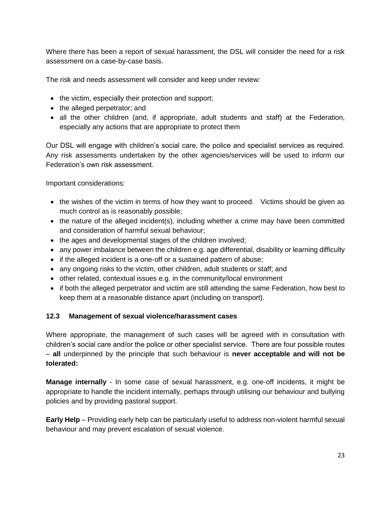Where there has been a report of sexual harassment, the DSL will consider the need for a risk assessment on a case-by-case basis.

The risk and needs assessment will consider and keep under review:

- the victim, especially their protection and support;
- the alleged perpetrator; and
- all the other children (and, if appropriate, adult students and staff) at the Federation, especially any actions that are appropriate to protect them

Our DSL will engage with children's social care, the police and specialist services as required. Any risk assessments undertaken by the other agencies/services will be used to inform our Federation's own risk assessment.

Important considerations:

- the wishes of the victim in terms of how they want to proceed. Victims should be given as much control as is reasonably possible;
- the nature of the alleged incident(s), including whether a crime may have been committed and consideration of harmful sexual behaviour;
- the ages and developmental stages of the children involved;
- any power imbalance between the children e.g. age differential, disability or learning difficulty
- if the alleged incident is a one-off or a sustained pattern of abuse;
- any ongoing risks to the victim, other children, adult students or staff; and
- other related, contextual issues e.g. in the community/local environment
- if both the alleged perpetrator and victim are still attending the same Federation, how best to keep them at a reasonable distance apart (including on transport).

#### **12.3 Management of sexual violence/harassment cases**

Where appropriate, the management of such cases will be agreed with in consultation with children's social care and/or the police or other specialist service. There are four possible routes – **all** underpinned by the principle that such behaviour is **never acceptable and will not be tolerated:**

**Manage internally** - In some case of sexual harassment, e.g. one-off incidents, it might be appropriate to handle the incident internally, perhaps through utilising our behaviour and bullying policies and by providing pastoral support.

**Early Help** – Providing early help can be particularly useful to address non-violent harmful sexual behaviour and may prevent escalation of sexual violence.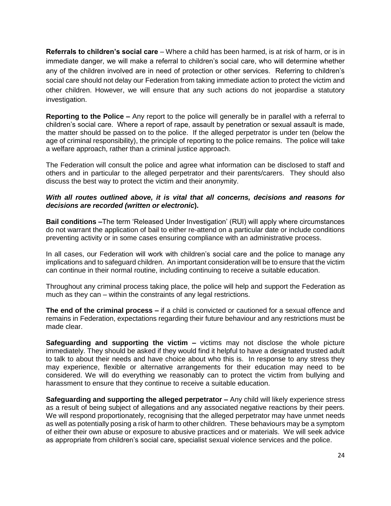**Referrals to children's social care** – Where a child has been harmed, is at risk of harm, or is in immediate danger, we will make a referral to children's social care, who will determine whether any of the children involved are in need of protection or other services. Referring to children's social care should not delay our Federation from taking immediate action to protect the victim and other children. However, we will ensure that any such actions do not jeopardise a statutory investigation.

**Reporting to the Police –** Any report to the police will generally be in parallel with a referral to children's social care. Where a report of rape, assault by penetration or sexual assault is made, the matter should be passed on to the police. If the alleged perpetrator is under ten (below the age of criminal responsibility), the principle of reporting to the police remains. The police will take a welfare approach, rather than a criminal justice approach.

The Federation will consult the police and agree what information can be disclosed to staff and others and in particular to the alleged perpetrator and their parents/carers. They should also discuss the best way to protect the victim and their anonymity.

#### *With all routes outlined above, it is vital that all concerns, decisions and reasons for decisions are recorded (written or electronic***).**

**Bail conditions –**The term 'Released Under Investigation' (RUI) will apply where circumstances do not warrant the application of bail to either re-attend on a particular date or include conditions preventing activity or in some cases ensuring compliance with an administrative process.

In all cases, our Federation will work with children's social care and the police to manage any implications and to safeguard children. An important consideration will be to ensure that the victim can continue in their normal routine, including continuing to receive a suitable education.

Throughout any criminal process taking place, the police will help and support the Federation as much as they can – within the constraints of any legal restrictions.

**The end of the criminal process –** if a child is convicted or cautioned for a sexual offence and remains in Federation, expectations regarding their future behaviour and any restrictions must be made clear.

**Safeguarding and supporting the victim –** victims may not disclose the whole picture immediately. They should be asked if they would find it helpful to have a designated trusted adult to talk to about their needs and have choice about who this is. In response to any stress they may experience, flexible or alternative arrangements for their education may need to be considered. We will do everything we reasonably can to protect the victim from bullying and harassment to ensure that they continue to receive a suitable education.

**Safeguarding and supporting the alleged perpetrator –** Any child will likely experience stress as a result of being subject of allegations and any associated negative reactions by their peers. We will respond proportionately, recognising that the alleged perpetrator may have unmet needs as well as potentially posing a risk of harm to other children. These behaviours may be a symptom of either their own abuse or exposure to abusive practices and or materials. We will seek advice as appropriate from children's social care, specialist sexual violence services and the police.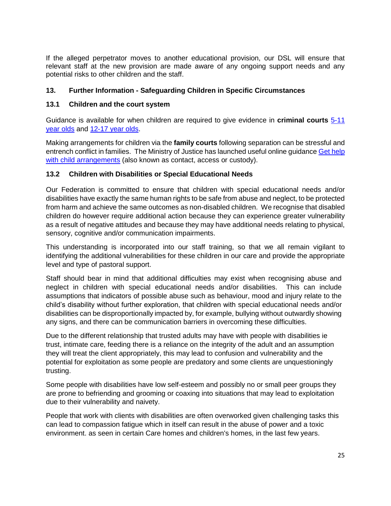If the alleged perpetrator moves to another educational provision, our DSL will ensure that relevant staff at the new provision are made aware of any ongoing support needs and any potential risks to other children and the staff.

#### **13. Further Information - Safeguarding Children in Specific Circumstances**

#### **13.1 Children and the court system**

Guidance is available for when children are required to give evidence in **criminal courts** [5-11](https://www.gov.uk/government/publications/young-witness-booklet-for-5-to-11-year-olds)  [year olds](https://www.gov.uk/government/publications/young-witness-booklet-for-5-to-11-year-olds) and [12-17 year olds.](https://www.gov.uk/government/publications/young-witness-booklet-for-12-to-17-year-olds)

Making arrangements for children via the **family courts** following separation can be stressful and entrench conflict in families. The Ministry of Justice has launched useful online guidance [Get help](https://helpwithchildarrangements.service.justice.gov.uk/) [with child arrangements](https://helpwithchildarrangements.service.justice.gov.uk/) (also known as contact, access or custody).

#### **13.2 Children with Disabilities or Special Educational Needs**

Our Federation is committed to ensure that children with special educational needs and/or disabilities have exactly the same human rights to be safe from abuse and neglect, to be protected from harm and achieve the same outcomes as non-disabled children. We recognise that disabled children do however require additional action because they can experience greater vulnerability as a result of negative attitudes and because they may have additional needs relating to physical, sensory, cognitive and/or communication impairments.

This understanding is incorporated into our staff training, so that we all remain vigilant to identifying the additional vulnerabilities for these children in our care and provide the appropriate level and type of pastoral support.

Staff should bear in mind that additional difficulties may exist when recognising abuse and neglect in children with special educational needs and/or disabilities. This can include assumptions that indicators of possible abuse such as behaviour, mood and injury relate to the child's disability without further exploration, that children with special educational needs and/or disabilities can be disproportionally impacted by, for example, bullying without outwardly showing any signs, and there can be communication barriers in overcoming these difficulties.

Due to the different relationship that trusted adults may have with people with disabilities ie trust, intimate care, feeding there is a reliance on the integrity of the adult and an assumption they will treat the client appropriately, this may lead to confusion and vulnerability and the potential for exploitation as some people are predatory and some clients are unquestioningly trusting.

Some people with disabilities have low self-esteem and possibly no or small peer groups they are prone to befriending and grooming or coaxing into situations that may lead to exploitation due to their vulnerability and naivety.

People that work with clients with disabilities are often overworked given challenging tasks this can lead to compassion fatigue which in itself can result in the abuse of power and a toxic environment. as seen in certain Care homes and children's homes, in the last few years.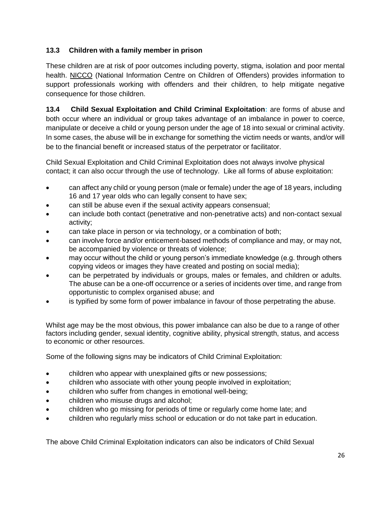# **13.3 Children with a family member in prison**

These children are at risk of poor outcomes including poverty, stigma, isolation and poor mental health. [NICCO](https://www.nicco.org.uk/) (National Information Centre on Children of Offenders) provides information to support professionals working with offenders and their children, to help mitigate negative consequence for those children.

**13.4 Child Sexual Exploitation and Child Criminal Exploitation:** are forms of abuse and both occur where an individual or group takes advantage of an imbalance in power to coerce, manipulate or deceive a child or young person under the age of 18 into sexual or criminal activity. In some cases, the abuse will be in exchange for something the victim needs or wants, and/or will be to the financial benefit or increased status of the perpetrator or facilitator.

Child Sexual Exploitation and Child Criminal Exploitation does not always involve physical contact; it can also occur through the use of technology. Like all forms of abuse exploitation:

- can affect any child or young person (male or female) under the age of 18 years, including 16 and 17 year olds who can legally consent to have sex;
- can still be abuse even if the sexual activity appears consensual;
- can include both contact (penetrative and non-penetrative acts) and non-contact sexual activity;
- can take place in person or via technology, or a combination of both;
- can involve force and/or enticement-based methods of compliance and may, or may not, be accompanied by violence or threats of violence;
- may occur without the child or young person's immediate knowledge (e.g. through others copying videos or images they have created and posting on social media);
- can be perpetrated by individuals or groups, males or females, and children or adults. The abuse can be a one-off occurrence or a series of incidents over time, and range from opportunistic to complex organised abuse; and
- is typified by some form of power imbalance in favour of those perpetrating the abuse.

Whilst age may be the most obvious, this power imbalance can also be due to a range of other factors including gender, sexual identity, cognitive ability, physical strength, status, and access to economic or other resources.

Some of the following signs may be indicators of Child Criminal Exploitation:

- children who appear with unexplained gifts or new possessions;
- children who associate with other young people involved in exploitation;
- children who suffer from changes in emotional well-being;
- children who misuse drugs and alcohol;
- children who go missing for periods of time or regularly come home late; and
- children who regularly miss school or education or do not take part in education.

The above Child Criminal Exploitation indicators can also be indicators of Child Sexual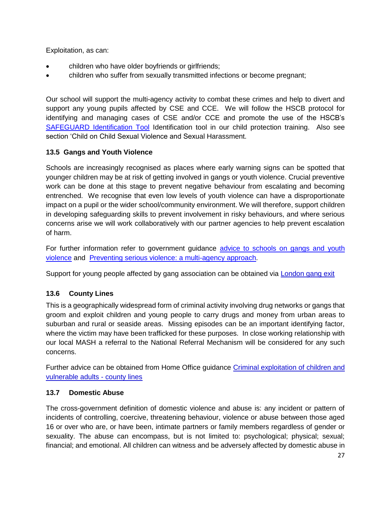Exploitation, as can:

- children who have older boyfriends or girlfriends;
- children who suffer from sexually transmitted infections or become pregnant;

Our school will support the multi-agency activity to combat these crimes and help to divert and support any young pupils affected by CSE and CCE. We will follow the HSCB protocol for identifying and managing cases of CSE and/or CCE and promote the use of the HSCB's [SAFEGUARD Identification Tool](http://www.harrowlscb.co.uk/wp-content/uploads/2015/05/S-A-F-E-G-U-A-R-D-cse-identification-tool.pdf) Identification tool in our child protection training. Also see section 'Child on Child Sexual Violence and Sexual Harassment.

# **13.5 Gangs and Youth Violence**

Schools are increasingly recognised as places where early warning signs can be spotted that younger children may be at risk of getting involved in gangs or youth violence. Crucial preventive work can be done at this stage to prevent negative behaviour from escalating and becoming entrenched. We recognise that even low levels of youth violence can have a disproportionate impact on a pupil or the wider school/community environment. We will therefore, support children in developing safeguarding skills to prevent involvement in risky behaviours, and where serious concerns arise we will work collaboratively with our partner agencies to help prevent escalation of harm.

For further information refer to government guidance advice to schools on gangs and youth [violence](https://www.gov.uk/government/publications/advice-to-schools-and-colleges-on-gangs-and-youth-violence) and [Preventing serious violence: a multi-agency approach.](https://www.gov.uk/government/publications/preventing-serious-violence-a-multi-agency-approach)

Support for young people affected by gang association can be obtained via **[London gang exit](https://saferlondon.org.uk/services/london-gang-exit/)** 

# **13.6 County Lines**

This is a geographically widespread form of criminal activity involving drug networks or gangs that groom and exploit children and young people to carry drugs and money from urban areas to suburban and rural or seaside areas. Missing episodes can be an important identifying factor, where the victim may have been trafficked for these purposes. In close working relationship with our local MASH a referral to the National Referral Mechanism will be considered for any such concerns.

Further advice can be obtained from Home Office guidance [Criminal exploitation of children and](https://www.gov.uk/government/publications/criminal-exploitation-of-children-and-vulnerable-adults-county-lines)  [vulnerable adults -](https://www.gov.uk/government/publications/criminal-exploitation-of-children-and-vulnerable-adults-county-lines) county lines

# **13.7 Domestic Abuse**

The cross-government definition of domestic violence and abuse is: any incident or pattern of incidents of controlling, coercive, threatening behaviour, violence or abuse between those aged 16 or over who are, or have been, intimate partners or family members regardless of gender or sexuality. The abuse can encompass, but is not limited to: psychological; physical; sexual; financial; and emotional. All children can witness and be adversely affected by domestic abuse in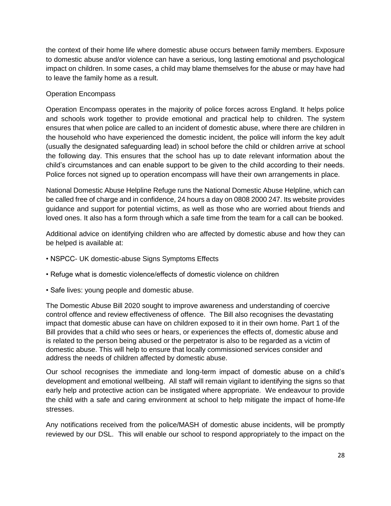the context of their home life where domestic abuse occurs between family members. Exposure to domestic abuse and/or violence can have a serious, long lasting emotional and psychological impact on children. In some cases, a child may blame themselves for the abuse or may have had to leave the family home as a result.

# Operation Encompass

Operation Encompass operates in the majority of police forces across England. It helps police and schools work together to provide emotional and practical help to children. The system ensures that when police are called to an incident of domestic abuse, where there are children in the household who have experienced the domestic incident, the police will inform the key adult (usually the designated safeguarding lead) in school before the child or children arrive at school the following day. This ensures that the school has up to date relevant information about the child's circumstances and can enable support to be given to the child according to their needs. Police forces not signed up to operation encompass will have their own arrangements in place.

National Domestic Abuse Helpline Refuge runs the National Domestic Abuse Helpline, which can be called free of charge and in confidence, 24 hours a day on 0808 2000 247. Its website provides guidance and support for potential victims, as well as those who are worried about friends and loved ones. It also has a form through which a safe time from the team for a call can be booked.

Additional advice on identifying children who are affected by domestic abuse and how they can be helped is available at:

- NSPCC- UK domestic-abuse Signs Symptoms Effects
- Refuge what is domestic violence/effects of domestic violence on children
- Safe lives: young people and domestic abuse.

The Domestic Abuse Bill 2020 sought to improve awareness and understanding of coercive control offence and review effectiveness of offence. The Bill also recognises the devastating impact that domestic abuse can have on children exposed to it in their own home. Part 1 of the Bill provides that a child who sees or hears, or experiences the effects of, domestic abuse and is related to the person being abused or the perpetrator is also to be regarded as a victim of domestic abuse. This will help to ensure that locally commissioned services consider and address the needs of children affected by domestic abuse.

Our school recognises the immediate and long-term impact of domestic abuse on a child's development and emotional wellbeing. All staff will remain vigilant to identifying the signs so that early help and protective action can be instigated where appropriate. We endeavour to provide the child with a safe and caring environment at school to help mitigate the impact of home-life stresses.

Any notifications received from the police/MASH of domestic abuse incidents, will be promptly reviewed by our DSL. This will enable our school to respond appropriately to the impact on the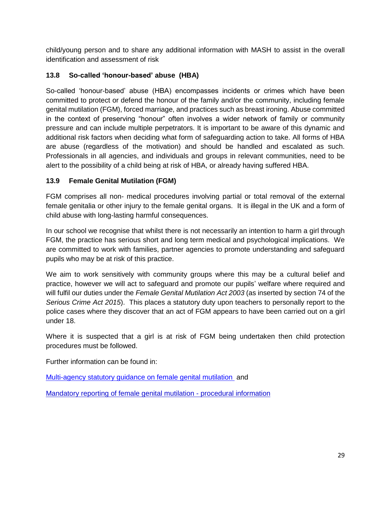child/young person and to share any additional information with MASH to assist in the overall identification and assessment of risk

# **13.8 So-called 'honour-based' abuse (HBA)**

So-called 'honour-based' abuse (HBA) encompasses incidents or crimes which have been committed to protect or defend the honour of the family and/or the community, including female genital mutilation (FGM), forced marriage, and practices such as breast ironing. Abuse committed in the context of preserving "honour" often involves a wider network of family or community pressure and can include multiple perpetrators. It is important to be aware of this dynamic and additional risk factors when deciding what form of safeguarding action to take. All forms of HBA are abuse (regardless of the motivation) and should be handled and escalated as such. Professionals in all agencies, and individuals and groups in relevant communities, need to be alert to the possibility of a child being at risk of HBA, or already having suffered HBA.

# **13.9 Female Genital Mutilation (FGM)**

FGM comprises all non- medical procedures involving partial or total removal of the external female genitalia or other injury to the female genital organs. It is illegal in the UK and a form of child abuse with long-lasting harmful consequences.

In our school we recognise that whilst there is not necessarily an intention to harm a girl through FGM, the practice has serious short and long term medical and psychological implications. We are committed to work with families, partner agencies to promote understanding and safeguard pupils who may be at risk of this practice.

We aim to work sensitively with community groups where this may be a cultural belief and practice, however we will act to safeguard and promote our pupils' welfare where required and will fulfil our duties under the *Female Genital Mutilation Act 2003* (as inserted by section 74 of the *Serious Crime Act 2015*). This places a statutory duty upon teachers to personally report to the police cases where they discover that an act of FGM appears to have been carried out on a girl under 18.

Where it is suspected that a girl is at risk of FGM being undertaken then child protection procedures must be followed.

Further information can be found in:

[Multi-agency statutory guidance on female genital mutilation](https://www.gov.uk/government/publications/multi-agency-statutory-guidance-on-female-genital-mutilation) and

[Mandatory reporting of female genital mutilation -](https://www.gov.uk/government/publications/mandatory-reporting-of-female-genital-mutilation-procedural-information) procedural information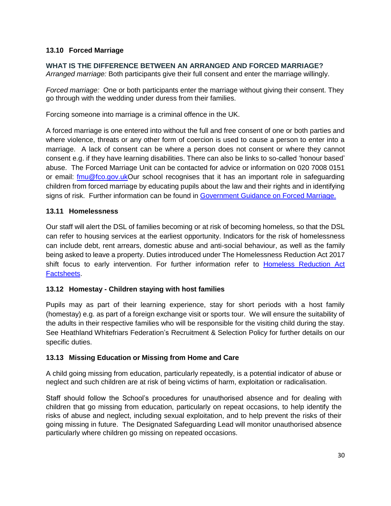# **13.10 Forced Marriage**

#### **WHAT IS THE DIFFERENCE BETWEEN AN ARRANGED AND FORCED MARRIAGE?**

*Arranged marriage:* Both participants give their full consent and enter the marriage willingly.

*Forced marriage:* One or both participants enter the marriage without giving their consent. They go through with the wedding under duress from their families.

Forcing someone into marriage is a criminal offence in the UK.

A forced marriage is one entered into without the full and free consent of one or both parties and where violence, threats or any other form of coercion is used to cause a person to enter into a marriage. A lack of consent can be where a person does not consent or where they cannot consent e.g. if they have learning disabilities. There can also be links to so-called 'honour based' abuse. The Forced Marriage Unit can be contacted for advice or information on 020 7008 0151 or email: [fmu@fco.gov.ukO](mailto:fmu@fco.gov.uk)ur school recognises that it has an important role in safeguarding children from forced marriage by educating pupils about the law and their rights and in identifying signs of risk. Further information can be found in [Government Guidance on Forced Marriage.](https://www.gov.uk/guidance/forced-marriage)

#### **13.11 Homelessness**

Our staff will alert the DSL of families becoming or at risk of becoming homeless, so that the DSL can refer to housing services at the earliest opportunity. Indicators for the risk of homelessness can include debt, rent arrears, domestic abuse and anti-social behaviour, as well as the family being asked to leave a property. Duties introduced under The Homelessness Reduction Act 2017 shift focus to early intervention. For further information refer to [Homeless Reduction Act](https://www.gov.uk/government/publications/homelessness-reduction-bill-policy-factsheets)  [Factsheets.](https://www.gov.uk/government/publications/homelessness-reduction-bill-policy-factsheets)

#### **13.12 Homestay - Children staying with host families**

Pupils may as part of their learning experience, stay for short periods with a host family (homestay) e.g. as part of a foreign exchange visit or sports tour. We will ensure the suitability of the adults in their respective families who will be responsible for the visiting child during the stay. See Heathland Whitefriars Federation's Recruitment & Selection Policy for further details on our specific duties.

#### **13.13 Missing Education or Missing from Home and Care**

A child going missing from education, particularly repeatedly, is a potential indicator of abuse or neglect and such children are at risk of being victims of harm, exploitation or radicalisation.

Staff should follow the School's procedures for unauthorised absence and for dealing with children that go missing from education, particularly on repeat occasions, to help identify the risks of abuse and neglect, including sexual exploitation, and to help prevent the risks of their going missing in future. The Designated Safeguarding Lead will monitor unauthorised absence particularly where children go missing on repeated occasions.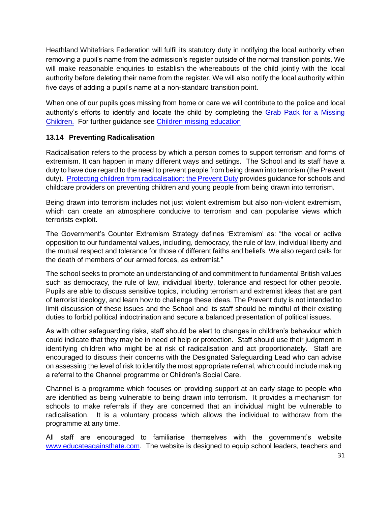Heathland Whitefriars Federation will fulfil its statutory duty in notifying the local authority when removing a pupil's name from the admission's register outside of the normal transition points. We will make reasonable enquiries to establish the whereabouts of the child jointly with the local authority before deleting their name from the register. We will also notify the local authority within five days of adding a pupil's name at a non-standard transition point.

When one of our pupils goes missing from home or care we will contribute to the police and local authority's efforts to identify and locate the child by completing the [Grab Pack for a Missing](http://www.harrowlscb.co.uk/wp-content/uploads/2015/06/GRAB-Pack-for-Missing-Children_Harrow-document.pdf)  [Childr](http://www.harrowlscb.co.uk/wp-content/uploads/2015/06/GRAB-Pack-for-Missing-Children_Harrow-document.pdf)en. For further guidance see [Children missing education](https://www.gov.uk/government/publications/children-missing-education)

# **13.14 Preventing Radicalisation**

Radicalisation refers to the process by which a person comes to support terrorism and forms of extremism. It can happen in many different ways and settings. The School and its staff have a duty to have due regard to the need to prevent people from being drawn into terrorism (the Prevent duty). [Protecting children from radicalisation: the Prevent Duty](https://www.gov.uk/government/publications/protecting-children-from-radicalisation-the-prevent-duty) provides guidance for schools and childcare providers on preventing children and young people from being drawn into terrorism.

Being drawn into terrorism includes not just violent extremism but also non-violent extremism, which can create an atmosphere conducive to terrorism and can popularise views which terrorists exploit.

The Government's Counter Extremism Strategy defines 'Extremism' as: "the vocal or active opposition to our fundamental values, including, democracy, the rule of law, individual liberty and the mutual respect and tolerance for those of different faiths and beliefs. We also regard calls for the death of members of our armed forces, as extremist."

The school seeks to promote an understanding of and commitment to fundamental British values such as democracy, the rule of law, individual liberty, tolerance and respect for other people. Pupils are able to discuss sensitive topics, including terrorism and extremist ideas that are part of terrorist ideology, and learn how to challenge these ideas. The Prevent duty is not intended to limit discussion of these issues and the School and its staff should be mindful of their existing duties to forbid political indoctrination and secure a balanced presentation of political issues.

As with other safeguarding risks, staff should be alert to changes in children's behaviour which could indicate that they may be in need of help or protection. Staff should use their judgment in identifying children who might be at risk of radicalisation and act proportionately. Staff are encouraged to discuss their concerns with the Designated Safeguarding Lead who can advise on assessing the level of risk to identify the most appropriate referral, which could include making a referral to the Channel programme or Children's Social Care.

Channel is a programme which focuses on providing support at an early stage to people who are identified as being vulnerable to being drawn into terrorism. It provides a mechanism for schools to make referrals if they are concerned that an individual might be vulnerable to radicalisation. It is a voluntary process which allows the individual to withdraw from the programme at any time.

All staff are encouraged to familiarise themselves with the government's website [www.educateagainsthate.com.](http://www.educateagainsthate.com/) The website is designed to equip school leaders, teachers and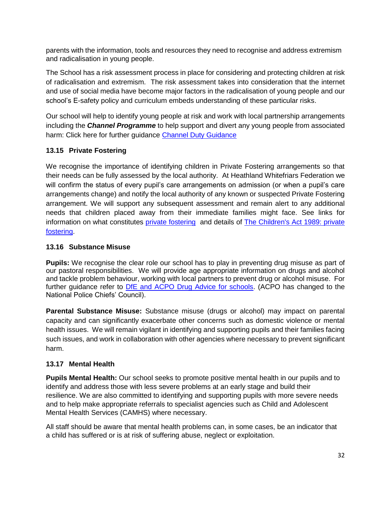parents with the information, tools and resources they need to recognise and address extremism and radicalisation in young people.

The School has a risk assessment process in place for considering and protecting children at risk of radicalisation and extremism. The risk assessment takes into consideration that the internet and use of social media have become major factors in the radicalisation of young people and our school's E-safety policy and curriculum embeds understanding of these particular risks.

Our school will help to identify young people at risk and work with local partnership arrangements including the *Channel Programme* to help support and divert any young people from associated harm: Click here for further guidance [Channel Duty Guidance](https://www.gov.uk/government/uploads/system/uploads/attachment_data/file/425189/Channel_Duty_Guidance_April_2015.pdf)

# **13.15 Private Fostering**

We recognise the importance of identifying children in Private Fostering arrangements so that their needs can be fully assessed by the local authority. At Heathland Whitefriars Federation we will confirm the status of every pupil's care arrangements on admission (or when a pupil's care arrangements change) and notify the local authority of any known or suspected Private Fostering arrangement. We will support any subsequent assessment and remain alert to any additional needs that children placed away from their immediate families might face. See links for information on what constitutes [private fostering](https://www.harrow.gov.uk/childrens-social-care/private-fostering-arrangements?documentId=12842&categoryId=210264) and details of [The Children's Act 1989: private](https://www.gov.uk/government/publications/children-act-1989-private-fostering)  [fostering.](https://www.gov.uk/government/publications/children-act-1989-private-fostering)

# **13.16 Substance Misuse**

**Pupils:** We recognise the clear role our school has to play in preventing drug misuse as part of our pastoral responsibilities. We will provide age appropriate information on drugs and alcohol and tackle problem behaviour, working with local partners to prevent drug or alcohol misuse. For further guidance refer to [DfE and ACPO Drug Advice for schools.](https://www.gov.uk/government/publications/drugs-advice-for-schools) (ACPO has changed to the National Police Chiefs' Council).

**Parental Substance Misuse:** Substance misuse (drugs or alcohol) may impact on parental capacity and can significantly exacerbate other concerns such as domestic violence or mental health issues. We will remain vigilant in identifying and supporting pupils and their families facing such issues, and work in collaboration with other agencies where necessary to prevent significant harm.

# **13.17 Mental Health**

**Pupils Mental Health:** Our school seeks to promote positive mental health in our pupils and to identify and address those with less severe problems at an early stage and build their resilience. We are also committed to identifying and supporting pupils with more severe needs and to help make appropriate referrals to specialist agencies such as Child and Adolescent Mental Health Services (CAMHS) where necessary.

All staff should be aware that mental health problems can, in some cases, be an indicator that a child has suffered or is at risk of suffering abuse, neglect or exploitation.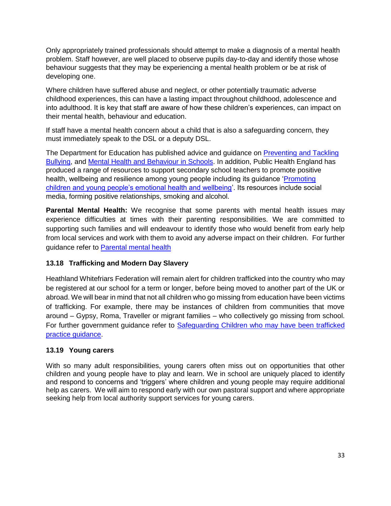Only appropriately trained professionals should attempt to make a diagnosis of a mental health problem. Staff however, are well placed to observe pupils day-to-day and identify those whose behaviour suggests that they may be experiencing a mental health problem or be at risk of developing one.

Where children have suffered abuse and neglect, or other potentially traumatic adverse childhood experiences, this can have a lasting impact throughout childhood, adolescence and into adulthood. It is key that staff are aware of how these children's experiences, can impact on their mental health, behaviour and education.

If staff have a mental health concern about a child that is also a safeguarding concern, they must immediately speak to the DSL or a deputy DSL.

The Department for Education has published advice and guidance on [Preventing and Tackling](https://www.gov.uk/government/publications/preventing-and-tackling-bullying)  [Bullying,](https://www.gov.uk/government/publications/preventing-and-tackling-bullying) and [Mental Health and Behaviour in Schools.](https://www.gov.uk/government/publications/mental-health-and-behaviour-in-schools--2) In addition, Public Health England has produced a range of resources to support secondary school teachers to promote positive health, wellbeing and resilience among young people including its guidance '*Promoting* [children and young people's emotional health and wellbeing'](https://assets.publishing.service.gov.uk/government/uploads/system/uploads/attachment_data/file/414908/Final_EHWB_draft_20_03_15.pdf). Its resources include social media, forming positive relationships, smoking and alcohol.

**Parental Mental Health:** We recognise that some parents with mental health issues may experience difficulties at times with their parenting responsibilities. We are committed to supporting such families and will endeavour to identify those who would benefit from early help from local services and work with them to avoid any adverse impact on their children. For further guidance refer to [Parental mental health](https://www.nspcc.org.uk/preventing-abuse/child-protection-system/parental-mental-health/)

# **13.18 Trafficking and Modern Day Slavery**

Heathland Whitefriars Federation will remain alert for children trafficked into the country who may be registered at our school for a term or longer, before being moved to another part of the UK or abroad. We will bear in mind that not all children who go missing from education have been victims of trafficking. For example, there may be instances of children from communities that move around – Gypsy, Roma, Traveller or migrant families – who collectively go missing from school. For further government guidance refer to [Safeguarding Children who may have been trafficked](https://www.gov.uk/government/publications/safeguarding-children-who-may-have-been-trafficked-practice-guidance)  [practice guidance.](https://www.gov.uk/government/publications/safeguarding-children-who-may-have-been-trafficked-practice-guidance)

# **13.19 Young carers**

With so many adult responsibilities, young carers often miss out on opportunities that other children and young people have to play and learn. We in school are uniquely placed to identify and respond to concerns and 'triggers' where children and young people may require additional help as carers. We will aim to respond early with our own pastoral support and where appropriate seeking help from local authority support services for young carers.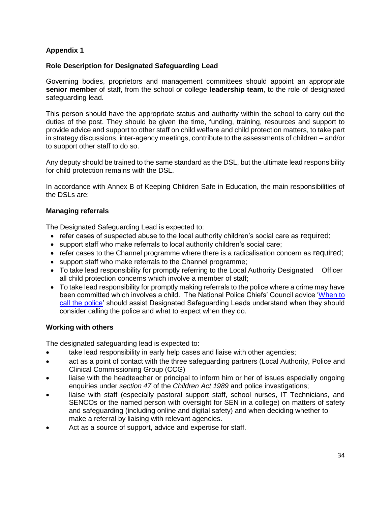#### **Appendix 1**

#### **Role Description for Designated Safeguarding Lead**

Governing bodies, proprietors and management committees should appoint an appropriate **senior member** of staff, from the school or college **leadership team**, to the role of designated safeguarding lead.

This person should have the appropriate status and authority within the school to carry out the duties of the post. They should be given the time, funding, training, resources and support to provide advice and support to other staff on child welfare and child protection matters, to take part in strategy discussions, inter-agency meetings, contribute to the assessments of children – and/or to support other staff to do so.

Any deputy should be trained to the same standard as the DSL, but the ultimate lead responsibility for child protection remains with the DSL.

In accordance with Annex B of Keeping Children Safe in Education, the main responsibilities of the DSLs are:

#### **Managing referrals**

The Designated Safeguarding Lead is expected to:

- refer cases of suspected abuse to the local authority children's social care as required;
- support staff who make referrals to local authority children's social care;
- refer cases to the Channel programme where there is a radicalisation concern as required;
- support staff who make referrals to the Channel programme;
- To take lead responsibility for promptly referring to the Local Authority Designated Officer all child protection concerns which involve a member of staff;
- To take lead responsibility for promptly making referrals to the police where a crime may have been committed which involves a child. The National Police Chiefs' Council advice ['When to](https://www.npcc.police.uk/documents/Children%20and%20Young%20people/When%20to%20call%20the%20police%20guidance%20for%20schools%20and%20colleges.pdf)  [call the police'](https://www.npcc.police.uk/documents/Children%20and%20Young%20people/When%20to%20call%20the%20police%20guidance%20for%20schools%20and%20colleges.pdf) should assist Designated Safeguarding Leads understand when they should consider calling the police and what to expect when they do.

#### **Working with others**

The designated safeguarding lead is expected to:

- take lead responsibility in early help cases and liaise with other agencies;
- act as a point of contact with the three safeguarding partners (Local Authority, Police and Clinical Commissioning Group (CCG)
- liaise with the headteacher or principal to inform him or her of issues especially ongoing enquiries under *section 47* of the *Children Act 1989* and police investigations;
- liaise with staff (especially pastoral support staff, school nurses, IT Technicians, and SENCOs or the named person with oversight for SEN in a college) on matters of safety and safeguarding (including online and digital safety) and when deciding whether to make a referral by liaising with relevant agencies.
- Act as a source of support, advice and expertise for staff.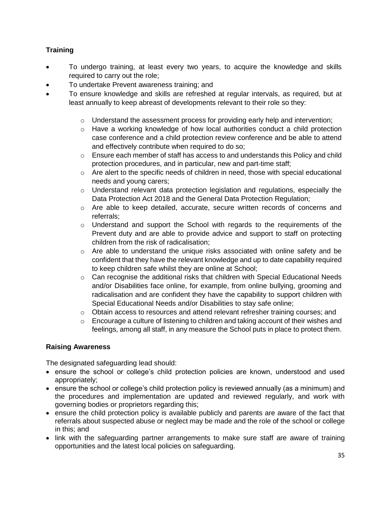# **Training**

- To undergo training, at least every two years, to acquire the knowledge and skills required to carry out the role;
- To undertake Prevent awareness training; and
- To ensure knowledge and skills are refreshed at regular intervals, as required, but at least annually to keep abreast of developments relevant to their role so they:
	- $\circ$  Understand the assessment process for providing early help and intervention;
	- $\circ$  Have a working knowledge of how local authorities conduct a child protection case conference and a child protection review conference and be able to attend and effectively contribute when required to do so;
	- $\circ$  Ensure each member of staff has access to and understands this Policy and child protection procedures, and in particular, new and part-time staff;
	- $\circ$  Are alert to the specific needs of children in need, those with special educational needs and young carers;
	- $\circ$  Understand relevant data protection legislation and regulations, especially the Data Protection Act 2018 and the General Data Protection Regulation;
	- o Are able to keep detailed, accurate, secure written records of concerns and referrals;
	- o Understand and support the School with regards to the requirements of the Prevent duty and are able to provide advice and support to staff on protecting children from the risk of radicalisation;
	- $\circ$  Are able to understand the unique risks associated with online safety and be confident that they have the relevant knowledge and up to date capability required to keep children safe whilst they are online at School;
	- $\circ$  Can recognise the additional risks that children with Special Educational Needs and/or Disabilities face online, for example, from online bullying, grooming and radicalisation and are confident they have the capability to support children with Special Educational Needs and/or Disabilities to stay safe online;
	- $\circ$  Obtain access to resources and attend relevant refresher training courses; and
	- $\circ$  Encourage a culture of listening to children and taking account of their wishes and feelings, among all staff, in any measure the School puts in place to protect them.

#### **Raising Awareness**

The designated safeguarding lead should:

- ensure the school or college's child protection policies are known, understood and used appropriately;
- ensure the school or college's child protection policy is reviewed annually (as a minimum) and the procedures and implementation are updated and reviewed regularly, and work with governing bodies or proprietors regarding this;
- ensure the child protection policy is available publicly and parents are aware of the fact that referrals about suspected abuse or neglect may be made and the role of the school or college in this; and
- link with the safeguarding partner arrangements to make sure staff are aware of training opportunities and the latest local policies on safeguarding.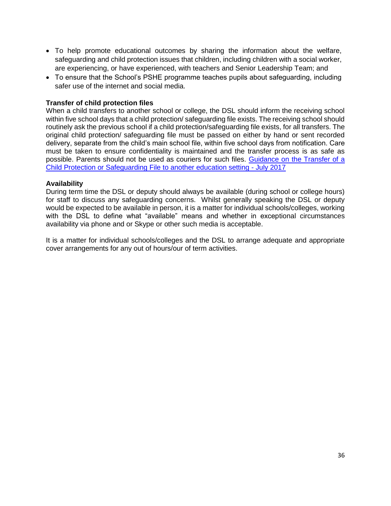- To help promote educational outcomes by sharing the information about the welfare, safeguarding and child protection issues that children, including children with a social worker, are experiencing, or have experienced, with teachers and Senior Leadership Team; and
- To ensure that the School's PSHE programme teaches pupils about safeguarding, including safer use of the internet and social media.

#### **Transfer of child protection files**

When a child transfers to another school or college, the DSL should inform the receiving school within five school days that a child protection/ safeguarding file exists. The receiving school should routinely ask the previous school if a child protection/safeguarding file exists, for all transfers. The original child protection/ safeguarding file must be passed on either by hand or sent recorded delivery, separate from the child's main school file, within five school days from notification. Care must be taken to ensure confidentiality is maintained and the transfer process is as safe as possible. Parents should not be used as couriers for such files. [Guidance on the Transfer of a](http://www.harrowlscb.co.uk/wp-content/uploads/2015/06/Guidance-on-the-transfer-of-a-child-protection-safeguarding-file-1.pdf)  [Child Protection or Safeguarding File to another education setting -](http://www.harrowlscb.co.uk/wp-content/uploads/2015/06/Guidance-on-the-transfer-of-a-child-protection-safeguarding-file-1.pdf) July 2017

#### **Availability**

During term time the DSL or deputy should always be available (during school or college hours) for staff to discuss any safeguarding concerns. Whilst generally speaking the DSL or deputy would be expected to be available in person, it is a matter for individual schools/colleges, working with the DSL to define what "available" means and whether in exceptional circumstances availability via phone and or Skype or other such media is acceptable.

It is a matter for individual schools/colleges and the DSL to arrange adequate and appropriate cover arrangements for any out of hours/our of term activities.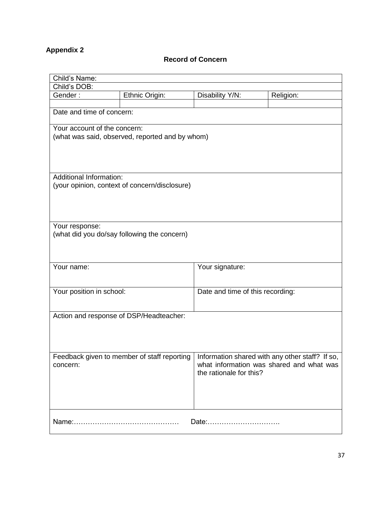# **Appendix 2**

# **Record of Concern**

|                                | Child's Name:                                   |                                  |                                                 |  |  |  |
|--------------------------------|-------------------------------------------------|----------------------------------|-------------------------------------------------|--|--|--|
| Child's DOB:                   |                                                 |                                  |                                                 |  |  |  |
| Gender:                        | Ethnic Origin:                                  | Disability Y/N:                  | Religion:                                       |  |  |  |
|                                |                                                 |                                  |                                                 |  |  |  |
| Date and time of concern:      |                                                 |                                  |                                                 |  |  |  |
| Your account of the concern:   |                                                 |                                  |                                                 |  |  |  |
|                                | (what was said, observed, reported and by whom) |                                  |                                                 |  |  |  |
|                                |                                                 |                                  |                                                 |  |  |  |
|                                |                                                 |                                  |                                                 |  |  |  |
|                                |                                                 |                                  |                                                 |  |  |  |
| <b>Additional Information:</b> |                                                 |                                  |                                                 |  |  |  |
|                                | (your opinion, context of concern/disclosure)   |                                  |                                                 |  |  |  |
|                                |                                                 |                                  |                                                 |  |  |  |
|                                |                                                 |                                  |                                                 |  |  |  |
|                                |                                                 |                                  |                                                 |  |  |  |
|                                |                                                 |                                  |                                                 |  |  |  |
| Your response:                 |                                                 |                                  |                                                 |  |  |  |
|                                | (what did you do/say following the concern)     |                                  |                                                 |  |  |  |
|                                |                                                 |                                  |                                                 |  |  |  |
|                                |                                                 |                                  |                                                 |  |  |  |
| Your name:                     |                                                 | Your signature:                  |                                                 |  |  |  |
|                                |                                                 |                                  |                                                 |  |  |  |
|                                |                                                 |                                  |                                                 |  |  |  |
| Your position in school:       |                                                 | Date and time of this recording: |                                                 |  |  |  |
|                                |                                                 |                                  |                                                 |  |  |  |
|                                |                                                 |                                  |                                                 |  |  |  |
|                                | Action and response of DSP/Headteacher:         |                                  |                                                 |  |  |  |
|                                |                                                 |                                  |                                                 |  |  |  |
|                                |                                                 |                                  |                                                 |  |  |  |
|                                |                                                 |                                  |                                                 |  |  |  |
|                                | Feedback given to member of staff reporting     |                                  | Information shared with any other staff? If so, |  |  |  |
| concern:                       |                                                 |                                  | what information was shared and what was        |  |  |  |
|                                |                                                 | the rationale for this?          |                                                 |  |  |  |
|                                |                                                 |                                  |                                                 |  |  |  |
|                                |                                                 |                                  |                                                 |  |  |  |
|                                |                                                 |                                  |                                                 |  |  |  |
|                                |                                                 |                                  |                                                 |  |  |  |
| Date:                          |                                                 |                                  |                                                 |  |  |  |
|                                |                                                 |                                  |                                                 |  |  |  |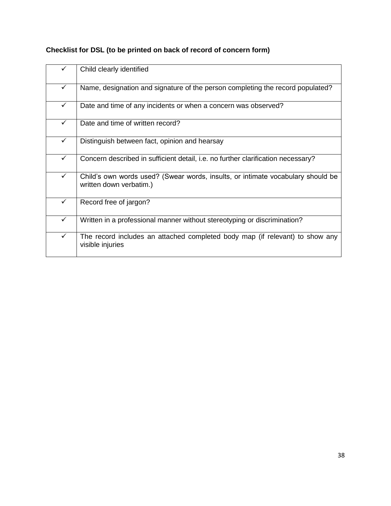|              | Child clearly identified                                                                                   |
|--------------|------------------------------------------------------------------------------------------------------------|
| $\checkmark$ | Name, designation and signature of the person completing the record populated?                             |
| $\checkmark$ | Date and time of any incidents or when a concern was observed?                                             |
| $\checkmark$ | Date and time of written record?                                                                           |
| $\checkmark$ | Distinguish between fact, opinion and hearsay                                                              |
| $\checkmark$ | Concern described in sufficient detail, i.e. no further clarification necessary?                           |
| $\checkmark$ | Child's own words used? (Swear words, insults, or intimate vocabulary should be<br>written down verbatim.) |
| $\checkmark$ | Record free of jargon?                                                                                     |
| $\checkmark$ | Written in a professional manner without stereotyping or discrimination?                                   |
| $\checkmark$ | The record includes an attached completed body map (if relevant) to show any<br>visible injuries           |
|              |                                                                                                            |

# **Checklist for DSL (to be printed on back of record of concern form)**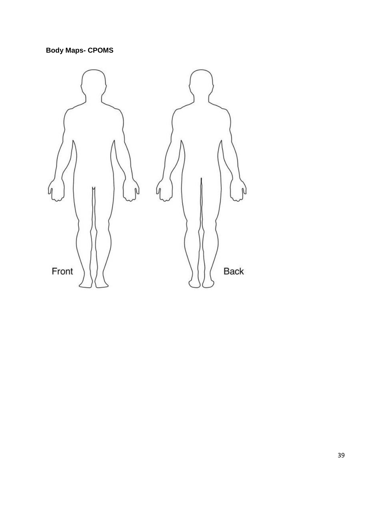# **Body Maps- CPOMS**

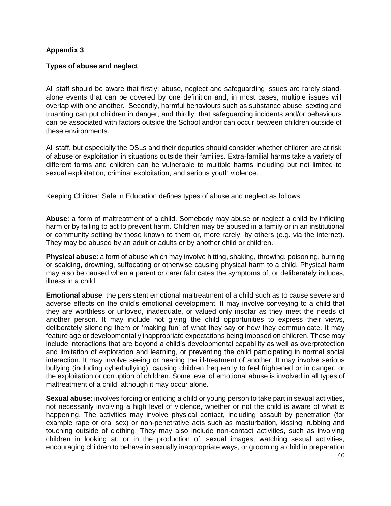#### **Appendix 3**

#### **Types of abuse and neglect**

All staff should be aware that firstly; abuse, neglect and safeguarding issues are rarely standalone events that can be covered by one definition and, in most cases, multiple issues will overlap with one another. Secondly, harmful behaviours such as substance abuse, sexting and truanting can put children in danger, and thirdly; that safeguarding incidents and/or behaviours can be associated with factors outside the School and/or can occur between children outside of these environments.

All staff, but especially the DSLs and their deputies should consider whether children are at risk of abuse or exploitation in situations outside their families. Extra-familial harms take a variety of different forms and children can be vulnerable to multiple harms including but not limited to sexual exploitation, criminal exploitation, and serious youth violence.

Keeping Children Safe in Education defines types of abuse and neglect as follows:

**Abuse**: a form of maltreatment of a child. Somebody may abuse or neglect a child by inflicting harm or by failing to act to prevent harm. Children may be abused in a family or in an institutional or community setting by those known to them or, more rarely, by others (e.g. via the internet). They may be abused by an adult or adults or by another child or children.

**Physical abuse**: a form of abuse which may involve hitting, shaking, throwing, poisoning, burning or scalding, drowning, suffocating or otherwise causing physical harm to a child. Physical harm may also be caused when a parent or carer fabricates the symptoms of, or deliberately induces, illness in a child.

**Emotional abuse**: the persistent emotional maltreatment of a child such as to cause severe and adverse effects on the child's emotional development. It may involve conveying to a child that they are worthless or unloved, inadequate, or valued only insofar as they meet the needs of another person. It may include not giving the child opportunities to express their views, deliberately silencing them or 'making fun' of what they say or how they communicate. It may feature age or developmentally inappropriate expectations being imposed on children. These may include interactions that are beyond a child's developmental capability as well as overprotection and limitation of exploration and learning, or preventing the child participating in normal social interaction. It may involve seeing or hearing the ill-treatment of another. It may involve serious bullying (including cyberbullying), causing children frequently to feel frightened or in danger, or the exploitation or corruption of children. Some level of emotional abuse is involved in all types of maltreatment of a child, although it may occur alone.

**Sexual abuse**: involves forcing or enticing a child or young person to take part in sexual activities, not necessarily involving a high level of violence, whether or not the child is aware of what is happening. The activities may involve physical contact, including assault by penetration (for example rape or oral sex) or non-penetrative acts such as masturbation, kissing, rubbing and touching outside of clothing. They may also include non-contact activities, such as involving children in looking at, or in the production of, sexual images, watching sexual activities, encouraging children to behave in sexually inappropriate ways, or grooming a child in preparation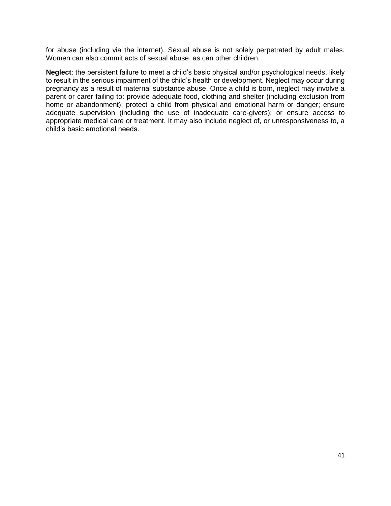for abuse (including via the internet). Sexual abuse is not solely perpetrated by adult males. Women can also commit acts of sexual abuse, as can other children.

**Neglect**: the persistent failure to meet a child's basic physical and/or psychological needs, likely to result in the serious impairment of the child's health or development. Neglect may occur during pregnancy as a result of maternal substance abuse. Once a child is born, neglect may involve a parent or carer failing to: provide adequate food, clothing and shelter (including exclusion from home or abandonment); protect a child from physical and emotional harm or danger; ensure adequate supervision (including the use of inadequate care-givers); or ensure access to appropriate medical care or treatment. It may also include neglect of, or unresponsiveness to, a child's basic emotional needs.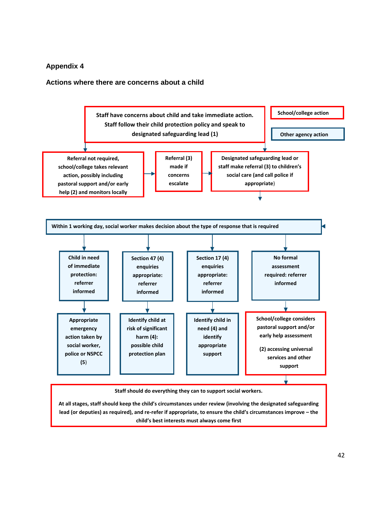#### **Appendix 4**

#### **Actions where there are concerns about a child**